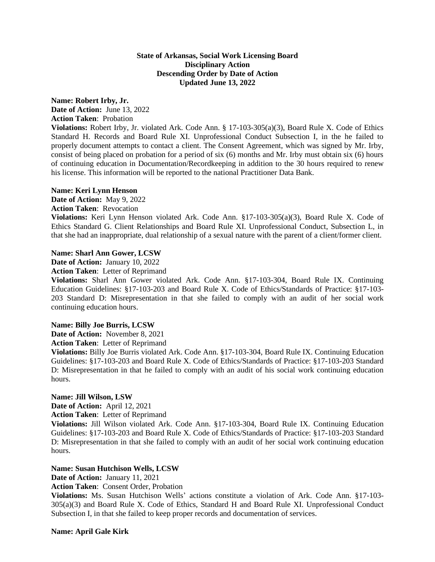## **State of Arkansas, Social Work Licensing Board Disciplinary Action Descending Order by Date of Action Updated June 13, 2022**

# **Name: Robert Irby, Jr. Date of Action:** June 13, 2022

**Action Taken**: Probation

**Violations:** Robert Irby, Jr. violated Ark. Code Ann. § 17-103-305(a)(3), Board Rule X. Code of Ethics Standard H. Records and Board Rule XI. Unprofessional Conduct Subsection I, in the he failed to properly document attempts to contact a client. The Consent Agreement, which was signed by Mr. Irby, consist of being placed on probation for a period of six (6) months and Mr. Irby must obtain six (6) hours of continuing education in Documentation/Recordkeeping in addition to the 30 hours required to renew his license. This information will be reported to the national Practitioner Data Bank.

## **Name: Keri Lynn Henson**

**Date of Action:** May 9, 2022 **Action Taken**: Revocation

**Violations:** Keri Lynn Henson violated Ark. Code Ann. §17-103-305(a)(3), Board Rule X. Code of Ethics Standard G. Client Relationships and Board Rule XI. Unprofessional Conduct, Subsection L, in that she had an inappropriate, dual relationship of a sexual nature with the parent of a client/former client.

# **Name: Sharl Ann Gower, LCSW**

**Date of Action:** January 10, 2022

**Action Taken**: Letter of Reprimand

**Violations:** Sharl Ann Gower violated Ark. Code Ann. §17-103-304, Board Rule IX. Continuing Education Guidelines: §17-103-203 and Board Rule X. Code of Ethics/Standards of Practice: §17-103- 203 Standard D: Misrepresentation in that she failed to comply with an audit of her social work continuing education hours.

# **Name: Billy Joe Burris, LCSW**

**Date of Action:** November 8, 2021

**Action Taken**: Letter of Reprimand

**Violations:** Billy Joe Burris violated Ark. Code Ann. §17-103-304, Board Rule IX. Continuing Education Guidelines: §17-103-203 and Board Rule X. Code of Ethics/Standards of Practice: §17-103-203 Standard D: Misrepresentation in that he failed to comply with an audit of his social work continuing education hours.

# **Name: Jill Wilson, LSW**

**Date of Action:** April 12, 2021 **Action Taken**: Letter of Reprimand

**Violations:** Jill Wilson violated Ark. Code Ann. §17-103-304, Board Rule IX. Continuing Education Guidelines: §17-103-203 and Board Rule X. Code of Ethics/Standards of Practice: §17-103-203 Standard D: Misrepresentation in that she failed to comply with an audit of her social work continuing education hours.

# **Name: Susan Hutchison Wells, LCSW**

**Date of Action:** January 11, 2021

**Action Taken**: Consent Order, Probation

**Violations:** Ms. Susan Hutchison Wells' actions constitute a violation of Ark. Code Ann. §17-103- 305(a)(3) and Board Rule X. Code of Ethics, Standard H and Board Rule XI. Unprofessional Conduct Subsection I, in that she failed to keep proper records and documentation of services.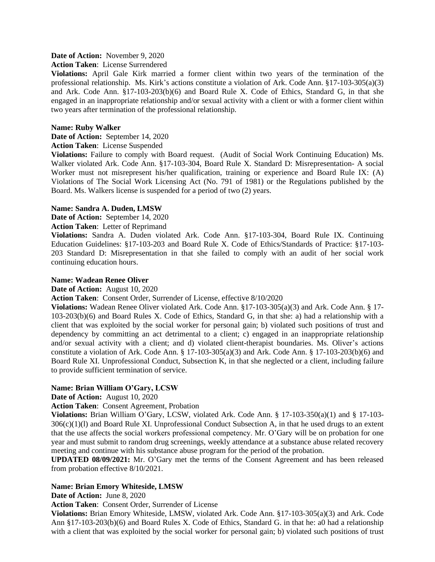## **Date of Action:** November 9, 2020

### **Action Taken**: License Surrendered

**Violations:** April Gale Kirk married a former client within two years of the termination of the professional relationship. Ms. Kirk's actions constitute a violation of Ark. Code Ann. §17-103-305(a)(3) and Ark. Code Ann. §17-103-203(b)(6) and Board Rule X. Code of Ethics, Standard G, in that she engaged in an inappropriate relationship and/or sexual activity with a client or with a former client within two years after termination of the professional relationship.

## **Name: Ruby Walker**

**Date of Action:** September 14, 2020

## **Action Taken**: License Suspended

**Violations:** Failure to comply with Board request. (Audit of Social Work Continuing Education) Ms. Walker violated Ark. Code Ann. §17-103-304, Board Rule X. Standard D: Misrepresentation- A social Worker must not misrepresent his/her qualification, training or experience and Board Rule IX: (A) Violations of The Social Work Licensing Act (No. 791 of 1981) or the Regulations published by the Board. Ms. Walkers license is suspended for a period of two (2) years.

## **Name: Sandra A. Duden, LMSW**

**Date of Action:** September 14, 2020

# **Action Taken**: Letter of Reprimand

**Violations:** Sandra A. Duden violated Ark. Code Ann. §17-103-304, Board Rule IX. Continuing Education Guidelines: §17-103-203 and Board Rule X. Code of Ethics/Standards of Practice: §17-103- 203 Standard D: Misrepresentation in that she failed to comply with an audit of her social work continuing education hours.

## **Name: Wadean Renee Oliver**

### **Date of Action:** August 10, 2020

**Action Taken**: Consent Order, Surrender of License, effective 8/10/2020

**Violations:** Wadean Renee Oliver violated Ark. Code Ann. §17-103-305(a)(3) and Ark. Code Ann. § 17- 103-203(b)(6) and Board Rules X. Code of Ethics, Standard G, in that she: a) had a relationship with a client that was exploited by the social worker for personal gain; b) violated such positions of trust and dependency by committing an act detrimental to a client; c) engaged in an inappropriate relationship and/or sexual activity with a client; and d) violated client-therapist boundaries. Ms. Oliver's actions constitute a violation of Ark. Code Ann. § 17-103-305(a)(3) and Ark. Code Ann. § 17-103-203(b)(6) and Board Rule XI. Unprofessional Conduct, Subsection K, in that she neglected or a client, including failure to provide sufficient termination of service.

# **Name: Brian William O'Gary, LCSW**

**Date of Action:** August 10, 2020

**Action Taken**: Consent Agreement, Probation

**Violations:** Brian William O'Gary, LCSW, violated Ark. Code Ann. § 17-103-350(a)(1) and § 17-103-  $306(c)(1)(l)$  and Board Rule XI. Unprofessional Conduct Subsection A, in that he used drugs to an extent that the use affects the social workers professional competency. Mr. O'Gary will be on probation for one year and must submit to random drug screenings, weekly attendance at a substance abuse related recovery meeting and continue with his substance abuse program for the period of the probation.

**UPDATED 08/09/2021:** Mr. O'Gary met the terms of the Consent Agreement and has been released from probation effective 8/10/2021.

# **Name: Brian Emory Whiteside, LMSW**

**Date of Action:** June 8, 2020

**Action Taken**: Consent Order, Surrender of License

**Violations:** Brian Emory Whiteside, LMSW, violated Ark. Code Ann. §17-103-305(a)(3) and Ark. Code Ann §17-103-203(b)(6) and Board Rules X. Code of Ethics, Standard G. in that he: a0 had a relationship with a client that was exploited by the social worker for personal gain; b) violated such positions of trust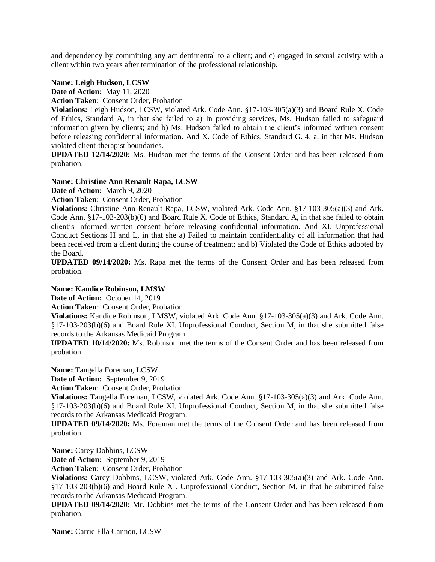and dependency by committing any act detrimental to a client; and c) engaged in sexual activity with a client within two years after termination of the professional relationship.

## **Name: Leigh Hudson, LCSW**

**Date of Action:** May 11, 2020

**Action Taken**: Consent Order, Probation

**Violations:** Leigh Hudson, LCSW, violated Ark. Code Ann. §17-103-305(a)(3) and Board Rule X. Code of Ethics, Standard A, in that she failed to a) In providing services, Ms. Hudson failed to safeguard information given by clients; and b) Ms. Hudson failed to obtain the client's informed written consent before releasing confidential information. And X. Code of Ethics, Standard G. 4. a, in that Ms. Hudson violated client-therapist boundaries.

**UPDATED 12/14/2020:** Ms. Hudson met the terms of the Consent Order and has been released from probation.

## **Name: Christine Ann Renault Rapa, LCSW**

**Date of Action:** March 9, 2020

**Action Taken**: Consent Order, Probation

**Violations:** Christine Ann Renault Rapa, LCSW, violated Ark. Code Ann. §17-103-305(a)(3) and Ark. Code Ann. §17-103-203(b)(6) and Board Rule X. Code of Ethics, Standard A, in that she failed to obtain client's informed written consent before releasing confidential information. And XI. Unprofessional Conduct Sections H and L, in that she a) Failed to maintain confidentiality of all information that had been received from a client during the course of treatment; and b) Violated the Code of Ethics adopted by the Board.

**UPDATED 09/14/2020:** Ms. Rapa met the terms of the Consent Order and has been released from probation.

### **Name: Kandice Robinson, LMSW**

**Date of Action:** October 14, 2019

**Action Taken**: Consent Order, Probation

**Violations:** Kandice Robinson, LMSW, violated Ark. Code Ann. §17-103-305(a)(3) and Ark. Code Ann. §17-103-203(b)(6) and Board Rule XI. Unprofessional Conduct, Section M, in that she submitted false records to the Arkansas Medicaid Program.

**UPDATED 10/14/2020:** Ms. Robinson met the terms of the Consent Order and has been released from probation.

**Name:** Tangella Foreman, LCSW

**Date of Action:** September 9, 2019

**Action Taken**: Consent Order, Probation

**Violations:** Tangella Foreman, LCSW, violated Ark. Code Ann. §17-103-305(a)(3) and Ark. Code Ann. §17-103-203(b)(6) and Board Rule XI. Unprofessional Conduct, Section M, in that she submitted false records to the Arkansas Medicaid Program.

**UPDATED 09/14/2020:** Ms. Foreman met the terms of the Consent Order and has been released from probation.

**Name:** Carey Dobbins, LCSW

**Date of Action:** September 9, 2019

**Action Taken**: Consent Order, Probation

**Violations:** Carey Dobbins, LCSW, violated Ark. Code Ann. §17-103-305(a)(3) and Ark. Code Ann. §17-103-203(b)(6) and Board Rule XI. Unprofessional Conduct, Section M, in that he submitted false records to the Arkansas Medicaid Program.

**UPDATED 09/14/2020:** Mr. Dobbins met the terms of the Consent Order and has been released from probation.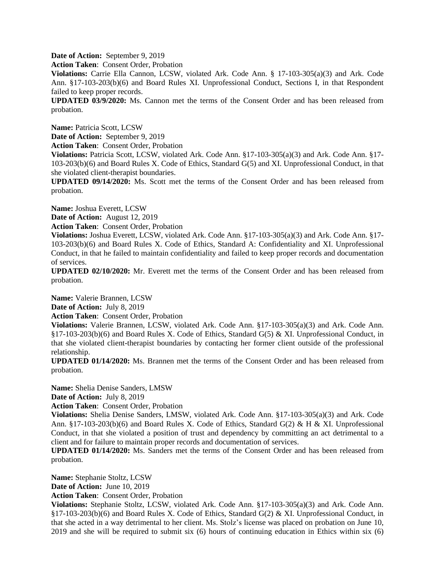**Date of Action:** September 9, 2019

**Action Taken**: Consent Order, Probation

**Violations:** Carrie Ella Cannon, LCSW, violated Ark. Code Ann. § 17-103-305(a)(3) and Ark. Code Ann. §17-103-203(b)(6) and Board Rules XI. Unprofessional Conduct, Sections I, in that Respondent failed to keep proper records.

**UPDATED 03/9/2020:** Ms. Cannon met the terms of the Consent Order and has been released from probation.

**Name:** Patricia Scott, LCSW

**Date of Action:** September 9, 2019

**Action Taken**: Consent Order, Probation

**Violations:** Patricia Scott, LCSW, violated Ark. Code Ann. §17-103-305(a)(3) and Ark. Code Ann. §17- 103-203(b)(6) and Board Rules X. Code of Ethics, Standard G(5) and XI. Unprofessional Conduct, in that she violated client-therapist boundaries.

**UPDATED 09/14/2020:** Ms. Scott met the terms of the Consent Order and has been released from probation.

**Name:** Joshua Everett, LCSW

**Date of Action:** August 12, 2019

**Action Taken**: Consent Order, Probation

**Violations:** Joshua Everett, LCSW, violated Ark. Code Ann. §17-103-305(a)(3) and Ark. Code Ann. §17- 103-203(b)(6) and Board Rules X. Code of Ethics, Standard A: Confidentiality and XI. Unprofessional Conduct, in that he failed to maintain confidentiality and failed to keep proper records and documentation of services.

**UPDATED 02/10/2020:** Mr. Everett met the terms of the Consent Order and has been released from probation.

**Name:** Valerie Brannen, LCSW

**Date of Action:** July 8, 2019

**Action Taken**: Consent Order, Probation

**Violations:** Valerie Brannen, LCSW, violated Ark. Code Ann. §17-103-305(a)(3) and Ark. Code Ann. §17-103-203(b)(6) and Board Rules X. Code of Ethics, Standard G(5) & XI. Unprofessional Conduct, in that she violated client-therapist boundaries by contacting her former client outside of the professional relationship.

**UPDATED 01/14/2020:** Ms. Brannen met the terms of the Consent Order and has been released from probation.

**Name:** Shelia Denise Sanders, LMSW

**Date of Action:** July 8, 2019

**Action Taken**: Consent Order, Probation

**Violations:** Shelia Denise Sanders, LMSW, violated Ark. Code Ann. §17-103-305(a)(3) and Ark. Code Ann. §17-103-203(b)(6) and Board Rules X. Code of Ethics, Standard G(2) & H & XI. Unprofessional Conduct, in that she violated a position of trust and dependency by committing an act detrimental to a client and for failure to maintain proper records and documentation of services.

**UPDATED 01/14/2020:** Ms. Sanders met the terms of the Consent Order and has been released from probation.

**Name:** Stephanie Stoltz, LCSW

**Date of Action:** June 10, 2019

**Action Taken**: Consent Order, Probation

**Violations:** Stephanie Stoltz, LCSW, violated Ark. Code Ann. §17-103-305(a)(3) and Ark. Code Ann. §17-103-203(b)(6) and Board Rules X. Code of Ethics, Standard G(2) & XI. Unprofessional Conduct, in that she acted in a way detrimental to her client. Ms. Stolz's license was placed on probation on June 10, 2019 and she will be required to submit six (6) hours of continuing education in Ethics within six (6)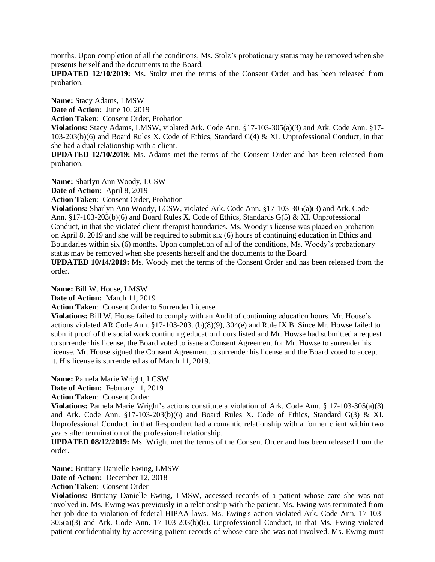months. Upon completion of all the conditions, Ms. Stolz's probationary status may be removed when she presents herself and the documents to the Board.

**UPDATED 12/10/2019:** Ms. Stoltz met the terms of the Consent Order and has been released from probation.

**Name:** Stacy Adams, LMSW

**Date of Action:** June 10, 2019

**Action Taken**: Consent Order, Probation

**Violations:** Stacy Adams, LMSW, violated Ark. Code Ann. §17-103-305(a)(3) and Ark. Code Ann. §17- 103-203(b)(6) and Board Rules X. Code of Ethics, Standard G(4) & XI. Unprofessional Conduct, in that she had a dual relationship with a client.

**UPDATED 12/10/2019:** Ms. Adams met the terms of the Consent Order and has been released from probation.

**Name:** Sharlyn Ann Woody, LCSW

**Date of Action:** April 8, 2019

**Action Taken**: Consent Order, Probation

**Violations:** Sharlyn Ann Woody, LCSW, violated Ark. Code Ann. §17-103-305(a)(3) and Ark. Code Ann. §17-103-203(b)(6) and Board Rules X. Code of Ethics, Standards G(5) & XI. Unprofessional Conduct, in that she violated client-therapist boundaries. Ms. Woody's license was placed on probation on April 8, 2019 and she will be required to submit six (6) hours of continuing education in Ethics and Boundaries within six (6) months. Upon completion of all of the conditions, Ms. Woody's probationary status may be removed when she presents herself and the documents to the Board.

**UPDATED 10/14/2019:** Ms. Woody met the terms of the Consent Order and has been released from the order.

**Name:** Bill W. House, LMSW

**Date of Action:** March 11, 2019

**Action Taken**: Consent Order to Surrender License

**Violations:** Bill W. House failed to comply with an Audit of continuing education hours. Mr. House's actions violated AR Code Ann. §17-103-203. (b)(8)(9), 304(e) and Rule IX.B. Since Mr. Howse failed to submit proof of the social work continuing education hours listed and Mr. Howse had submitted a request to surrender his license, the Board voted to issue a Consent Agreement for Mr. Howse to surrender his license. Mr. House signed the Consent Agreement to surrender his license and the Board voted to accept it. His license is surrendered as of March 11, 2019.

**Name:** Pamela Marie Wright, LCSW

Date of Action: February 11, 2019

**Action Taken**: Consent Order

**Violations:** Pamela Marie Wright's actions constitute a violation of Ark. Code Ann. § 17-103-305(a)(3) and Ark. Code Ann.  $\S 17-103-203(b)(6)$  and Board Rules X. Code of Ethics, Standard G(3) & XI. Unprofessional Conduct, in that Respondent had a romantic relationship with a former client within two years after termination of the professional relationship.

**UPDATED 08/12/2019:** Ms. Wright met the terms of the Consent Order and has been released from the order.

**Name:** Brittany Danielle Ewing, LMSW **Date of Action:** December 12, 2018 **Action Taken**: Consent Order

**Violations:** Brittany Danielle Ewing, LMSW, accessed records of a patient whose care she was not involved in. Ms. Ewing was previously in a relationship with the patient. Ms. Ewing was terminated from her job due to violation of federal HIPAA laws. Ms. Ewing's action violated Ark. Code Ann. 17-103- 305(a)(3) and Ark. Code Ann. 17-103-203(b)(6). Unprofessional Conduct, in that Ms. Ewing violated patient confidentiality by accessing patient records of whose care she was not involved. Ms. Ewing must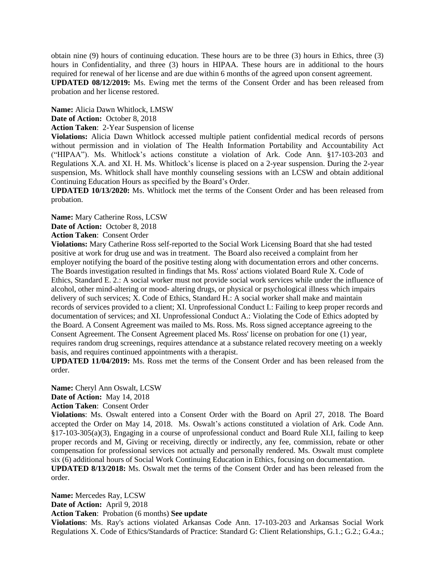obtain nine (9) hours of continuing education. These hours are to be three (3) hours in Ethics, three (3) hours in Confidentiality, and three (3) hours in HIPAA. These hours are in additional to the hours required for renewal of her license and are due within 6 months of the agreed upon consent agreement.

**UPDATED 08/12/2019:** Ms. Ewing met the terms of the Consent Order and has been released from probation and her license restored.

**Name:** Alicia Dawn Whitlock, LMSW

**Date of Action:** October 8, 2018

**Action Taken**: 2-Year Suspension of license

**Violations:** Alicia Dawn Whitlock accessed multiple patient confidential medical records of persons without permission and in violation of The Health Information Portability and Accountability Act ("HIPAA"). Ms. Whitlock's actions constitute a violation of Ark. Code Ann. §17-103-203 and Regulations X.A. and XI. H. Ms. Whitlock's license is placed on a 2-year suspension. During the 2-year suspension, Ms. Whitlock shall have monthly counseling sessions with an LCSW and obtain additional Continuing Education Hours as specified by the Board's Order.

**UPDATED 10/13/2020:** Ms. Whitlock met the terms of the Consent Order and has been released from probation.

**Name:** Mary Catherine Ross, LCSW

**Date of Action:** October 8, 2018

**Action Taken**: Consent Order

**Violations:** Mary Catherine Ross self-reported to the Social Work Licensing Board that she had tested positive at work for drug use and was in treatment. The Board also received a complaint from her employer notifying the board of the positive testing along with documentation errors and other concerns. The Boards investigation resulted in findings that Ms. Ross' actions violated Board Rule X. Code of Ethics, Standard E. 2.: A social worker must not provide social work services while under the influence of alcohol, other mind-altering or mood- altering drugs, or physical or psychological illness which impairs delivery of such services; X. Code of Ethics, Standard H.: A social worker shall make and maintain records of services provided to a client; XI. Unprofessional Conduct I.: Failing to keep proper records and documentation of services; and XI. Unprofessional Conduct A.: Violating the Code of Ethics adopted by the Board. A Consent Agreement was mailed to Ms. Ross. Ms. Ross signed acceptance agreeing to the Consent Agreement. The Consent Agreement placed Ms. Ross' license on probation for one (1) year, requires random drug screenings, requires attendance at a substance related recovery meeting on a weekly basis, and requires continued appointments with a therapist.

**UPDATED 11/04/2019:** Ms. Ross met the terms of the Consent Order and has been released from the order.

**Name:** Cheryl Ann Oswalt, LCSW

**Date of Action:** May 14, 2018

**Action Taken**: Consent Order

**Violations**: Ms. Oswalt entered into a Consent Order with the Board on April 27, 2018. The Board accepted the Order on May 14, 2018. Ms. Oswalt's actions constituted a violation of Ark. Code Ann. §17-103-305(a)(3), Engaging in a course of unprofessional conduct and Board Rule XI.I, failing to keep proper records and M, Giving or receiving, directly or indirectly, any fee, commission, rebate or other compensation for professional services not actually and personally rendered. Ms. Oswalt must complete six (6) additional hours of Social Work Continuing Education in Ethics, focusing on documentation. **UPDATED 8/13/2018:** Ms. Oswalt met the terms of the Consent Order and has been released from the

order.

**Name:** Mercedes Ray, LCSW **Date of Action:** April 9, 2018 **Action Taken**: Probation (6 months) **See update**

**Violations**: Ms. Ray's actions violated Arkansas Code Ann. 17-103-203 and Arkansas Social Work Regulations X. Code of Ethics/Standards of Practice: Standard G: Client Relationships, G.1.; G.2.; G.4.a.;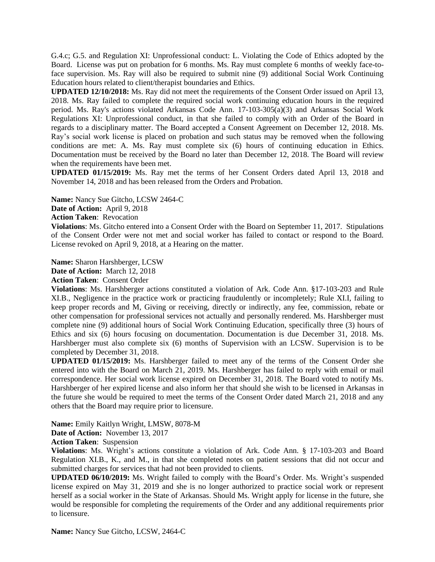G.4.c; G.5. and Regulation XI: Unprofessional conduct: L. Violating the Code of Ethics adopted by the Board. License was put on probation for 6 months. Ms. Ray must complete 6 months of weekly face-toface supervision. Ms. Ray will also be required to submit nine (9) additional Social Work Continuing Education hours related to client/therapist boundaries and Ethics.

**UPDATED 12/10/2018:** Ms. Ray did not meet the requirements of the Consent Order issued on April 13, 2018. Ms. Ray failed to complete the required social work continuing education hours in the required period. Ms. Ray's actions violated Arkansas Code Ann. 17-103-305(a)(3) and Arkansas Social Work Regulations XI: Unprofessional conduct, in that she failed to comply with an Order of the Board in regards to a disciplinary matter. The Board accepted a Consent Agreement on December 12, 2018. Ms. Ray's social work license is placed on probation and such status may be removed when the following conditions are met: A. Ms. Ray must complete six (6) hours of continuing education in Ethics. Documentation must be received by the Board no later than December 12, 2018. The Board will review when the requirements have been met.

**UPDATED 01/15/2019:** Ms. Ray met the terms of her Consent Orders dated April 13, 2018 and November 14, 2018 and has been released from the Orders and Probation.

**Name:** Nancy Sue Gitcho, LCSW 2464-C

**Date of Action:** April 9, 2018

**Action Taken**: Revocation

**Violations**: Ms. Gitcho entered into a Consent Order with the Board on September 11, 2017. Stipulations of the Consent Order were not met and social worker has failed to contact or respond to the Board. License revoked on April 9, 2018, at a Hearing on the matter.

**Name:** Sharon Harshberger, LCSW

**Date of Action:** March 12, 2018

**Action Taken**: Consent Order

**Violations**: Ms. Harshberger actions constituted a violation of Ark. Code Ann. §17-103-203 and Rule XI.B., Negligence in the practice work or practicing fraudulently or incompletely; Rule XI.I, failing to keep proper records and M, Giving or receiving, directly or indirectly, any fee, commission, rebate or other compensation for professional services not actually and personally rendered. Ms. Harshberger must complete nine (9) additional hours of Social Work Continuing Education, specifically three (3) hours of Ethics and six (6) hours focusing on documentation. Documentation is due December 31, 2018. Ms. Harshberger must also complete six (6) months of Supervision with an LCSW. Supervision is to be completed by December 31, 2018.

**UPDATED 01/15/2019:** Ms. Harshberger failed to meet any of the terms of the Consent Order she entered into with the Board on March 21, 2019. Ms. Harshberger has failed to reply with email or mail correspondence. Her social work license expired on December 31, 2018. The Board voted to notify Ms. Harshberger of her expired license and also inform her that should she wish to be licensed in Arkansas in the future she would be required to meet the terms of the Consent Order dated March 21, 2018 and any others that the Board may require prior to licensure.

**Name:** Emily Kaitlyn Wright, LMSW, 8078-M

**Date of Action:** November 13, 2017

**Action Taken**: Suspension

**Violations**: Ms. Wright's actions constitute a violation of Ark. Code Ann. § 17-103-203 and Board Regulation XI.B., K., and M., in that she completed notes on patient sessions that did not occur and submitted charges for services that had not been provided to clients.

**UPDATED 06/10/2019:** Ms. Wright failed to comply with the Board's Order. Ms. Wright's suspended license expired on May 31, 2019 and she is no longer authorized to practice social work or represent herself as a social worker in the State of Arkansas. Should Ms. Wright apply for license in the future, she would be responsible for completing the requirements of the Order and any additional requirements prior to licensure.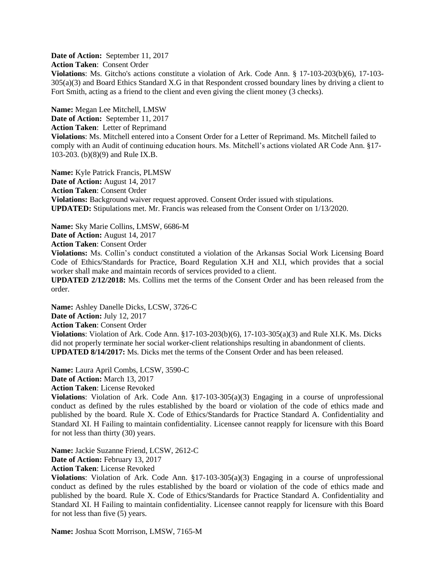**Date of Action:** September 11, 2017 **Action Taken**: Consent Order **Violations**: Ms. Gitcho's actions constitute a violation of Ark. Code Ann. § 17-103-203(b)(6), 17-103- 305(a)(3) and Board Ethics Standard X.G in that Respondent crossed boundary lines by driving a client to Fort Smith, acting as a friend to the client and even giving the client money (3 checks).

**Name:** Megan Lee Mitchell, LMSW **Date of Action:** September 11, 2017 **Action Taken**: Letter of Reprimand **Violations**: Ms. Mitchell entered into a Consent Order for a Letter of Reprimand. Ms. Mitchell failed to comply with an Audit of continuing education hours. Ms. Mitchell's actions violated AR Code Ann. §17- 103-203. (b)(8)(9) and Rule IX.B.

**Name:** Kyle Patrick Francis, PLMSW **Date of Action:** August 14, 2017 **Action Taken**: Consent Order **Violations:** Background waiver request approved. Consent Order issued with stipulations. **UPDATED:** Stipulations met. Mr. Francis was released from the Consent Order on 1/13/2020.

**Name:** Sky Marie Collins, LMSW, 6686-M

**Date of Action:** August 14, 2017

**Action Taken**: Consent Order

**Violations:** Ms. Collin's conduct constituted a violation of the Arkansas Social Work Licensing Board Code of Ethics/Standards for Practice, Board Regulation X.H and XI.I, which provides that a social worker shall make and maintain records of services provided to a client.

**UPDATED 2/12/2018:** Ms. Collins met the terms of the Consent Order and has been released from the order.

**Name:** Ashley Danelle Dicks, LCSW, 3726-C **Date of Action:** July 12, 2017 **Action Taken**: Consent Order **Violations**: Violation of Ark. Code Ann. §17-103-203(b)(6), 17-103-305(a)(3) and Rule XI.K. Ms. Dicks did not properly terminate her social worker-client relationships resulting in abandonment of clients. **UPDATED 8/14/2017:** Ms. Dicks met the terms of the Consent Order and has been released.

**Name:** Laura April Combs, LCSW, 3590-C **Date of Action:** March 13, 2017 **Action Taken**: License Revoked **Violations**: Violation of Ark. Code Ann. §17-103-305(a)(3) Engaging in a course of unprofessional conduct as defined by the rules established by the board or violation of the code of ethics made and published by the board. Rule X. Code of Ethics/Standards for Practice Standard A. Confidentiality and Standard XI. H Failing to maintain confidentiality. Licensee cannot reapply for licensure with this Board for not less than thirty (30) years.

**Name:** Jackie Suzanne Friend, LCSW, 2612-C

**Date of Action: February 13, 2017** 

**Action Taken**: License Revoked

**Violations**: Violation of Ark. Code Ann. §17-103-305(a)(3) Engaging in a course of unprofessional conduct as defined by the rules established by the board or violation of the code of ethics made and published by the board. Rule X. Code of Ethics/Standards for Practice Standard A. Confidentiality and Standard XI. H Failing to maintain confidentiality. Licensee cannot reapply for licensure with this Board for not less than five (5) years.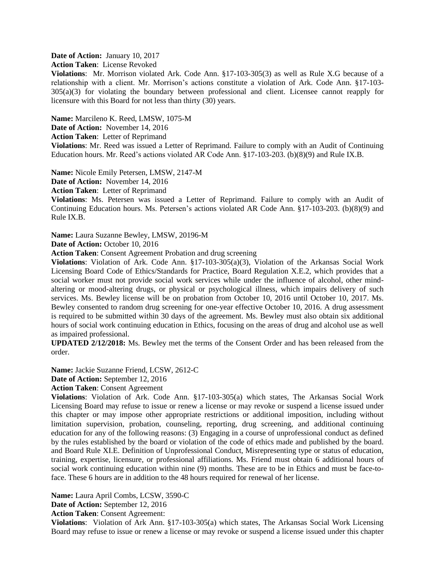**Date of Action:** January 10, 2017

**Action Taken**: License Revoked

**Violations**:Mr. Morrison violated Ark. Code Ann. §17-103-305(3) as well as Rule X.G because of a relationship with a client. Mr. Morrison's actions constitute a violation of Ark. Code Ann. §17-103- 305(a)(3) for violating the boundary between professional and client. Licensee cannot reapply for licensure with this Board for not less than thirty (30) years.

**Name:** Marcileno K. Reed, LMSW, 1075-M

**Date of Action:** November 14, 2016

**Action Taken**: Letter of Reprimand

**Violations**: Mr. Reed was issued a Letter of Reprimand. Failure to comply with an Audit of Continuing Education hours. Mr. Reed's actions violated AR Code Ann. §17-103-203. (b)(8)(9) and Rule IX.B.

**Name:** Nicole Emily Petersen, LMSW, 2147-M

**Date of Action:** November 14, 2016

**Action Taken**: Letter of Reprimand

**Violations**: Ms. Petersen was issued a Letter of Reprimand. Failure to comply with an Audit of Continuing Education hours. Ms. Petersen's actions violated AR Code Ann. §17-103-203. (b)(8)(9) and Rule IX.B.

**Name:** Laura Suzanne Bewley, LMSW, 20196-M

Date of Action: October 10, 2016

**Action Taken**: Consent Agreement Probation and drug screening

**Violations**: Violation of Ark. Code Ann. §17-103-305(a)(3), Violation of the Arkansas Social Work Licensing Board Code of Ethics/Standards for Practice, Board Regulation X.E.2, which provides that a social worker must not provide social work services while under the influence of alcohol, other mindaltering or mood-altering drugs, or physical or psychological illness, which impairs delivery of such services. Ms. Bewley license will be on probation from October 10, 2016 until October 10, 2017. Ms. Bewley consented to random drug screening for one-year effective October 10, 2016. A drug assessment is required to be submitted within 30 days of the agreement. Ms. Bewley must also obtain six additional hours of social work continuing education in Ethics, focusing on the areas of drug and alcohol use as well as impaired professional.

**UPDATED 2/12/2018:** Ms. Bewley met the terms of the Consent Order and has been released from the order.

**Name:** Jackie Suzanne Friend, LCSW, 2612-C

**Date of Action:** September 12, 2016

**Action Taken**: Consent Agreement

**Violations**: Violation of Ark. Code Ann. §17-103-305(a) which states, The Arkansas Social Work Licensing Board may refuse to issue or renew a license or may revoke or suspend a license issued under this chapter or may impose other appropriate restrictions or additional imposition, including without limitation supervision, probation, counseling, reporting, drug screening, and additional continuing education for any of the following reasons: (3) Engaging in a course of unprofessional conduct as defined by the rules established by the board or violation of the code of ethics made and published by the board. and Board Rule XI.E. Definition of Unprofessional Conduct, Misrepresenting type or status of education, training, expertise, licensure, or professional affiliations. Ms. Friend must obtain 6 additional hours of social work continuing education within nine (9) months. These are to be in Ethics and must be face-toface. These 6 hours are in addition to the 48 hours required for renewal of her license.

**Name:** Laura April Combs, LCSW, 3590-C

**Date of Action:** September 12, 2016

**Action Taken**: Consent Agreement:

**Violations**:Violation of Ark Ann. §17-103-305(a) which states, The Arkansas Social Work Licensing Board may refuse to issue or renew a license or may revoke or suspend a license issued under this chapter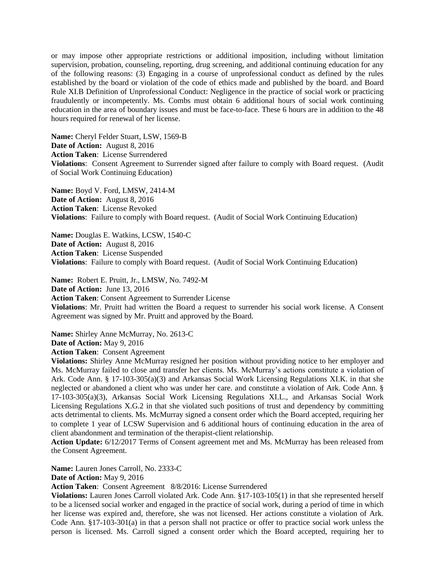or may impose other appropriate restrictions or additional imposition, including without limitation supervision, probation, counseling, reporting, drug screening, and additional continuing education for any of the following reasons: (3) Engaging in a course of unprofessional conduct as defined by the rules established by the board or violation of the code of ethics made and published by the board. and Board Rule XI.B Definition of Unprofessional Conduct: Negligence in the practice of social work or practicing fraudulently or incompetently. Ms. Combs must obtain 6 additional hours of social work continuing education in the area of boundary issues and must be face-to-face. These 6 hours are in addition to the 48 hours required for renewal of her license.

**Name:** Cheryl Felder Stuart, LSW, 1569-B **Date of Action:** August 8, 2016 **Action Taken**: License Surrendered **Violations**:Consent Agreement to Surrender signed after failure to comply with Board request. (Audit of Social Work Continuing Education)

**Name:** Boyd V. Ford, LMSW, 2414-M **Date of Action:** August 8, 2016 **Action Taken**: License Revoked **Violations**:Failure to comply with Board request. (Audit of Social Work Continuing Education)

**Name:** Douglas E. Watkins, LCSW, 1540-C **Date of Action:** August 8, 2016 **Action Taken**: License Suspended **Violations**:Failure to comply with Board request. (Audit of Social Work Continuing Education)

**Name:** Robert E. Pruitt, Jr., LMSW, No. 7492-M **Date of Action:** June 13, 2016 **Action Taken**: Consent Agreement to Surrender License **Violations**: Mr. Pruitt had written the Board a request to surrender his social work license. A Consent Agreement was signed by Mr. Pruitt and approved by the Board.

**Name:** Shirley Anne McMurray, No. 2613-C **Date of Action:** May 9, 2016

**Action Taken**: Consent Agreement

**Violations:** Shirley Anne McMurray resigned her position without providing notice to her employer and Ms. McMurray failed to close and transfer her clients. Ms. McMurray's actions constitute a violation of Ark. Code Ann. § 17-103-305(a)(3) and Arkansas Social Work Licensing Regulations XI.K. in that she neglected or abandoned a client who was under her care. and constitute a violation of Ark. Code Ann. § 17-103-305(a)(3), Arkansas Social Work Licensing Regulations XI.L., and Arkansas Social Work Licensing Regulations X.G.2 in that she violated such positions of trust and dependency by committing acts detrimental to clients. Ms. McMurray signed a consent order which the Board accepted, requiring her to complete 1 year of LCSW Supervision and 6 additional hours of continuing education in the area of client abandonment and termination of the therapist-client relationship.

**Action Update:** 6/12/2017 Terms of Consent agreement met and Ms. McMurray has been released from the Consent Agreement.

**Name:** Lauren Jones Carroll, No. 2333-C

**Date of Action:** May 9, 2016

**Action Taken**: Consent Agreement 8/8/2016: License Surrendered

**Violations:** Lauren Jones Carroll violated Ark. Code Ann. §17-103-105(1) in that she represented herself to be a licensed social worker and engaged in the practice of social work, during a period of time in which her license was expired and, therefore, she was not licensed. Her actions constitute a violation of Ark. Code Ann. §17-103-301(a) in that a person shall not practice or offer to practice social work unless the person is licensed. Ms. Carroll signed a consent order which the Board accepted, requiring her to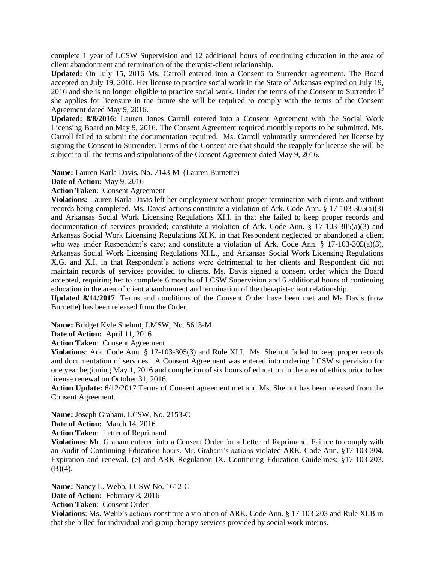complete 1 year of LCSW Supervision and 12 additional hours of continuing education in the area of client abandonment and termination of the therapist-client relationship.

**Updated:** On July 15, 2016 Ms. Carroll entered into a Consent to Surrender agreement. The Board accepted on July 19, 2016. Her license to practice social work in the State of Arkansas expired on July 19, 2016 and she is no longer eligible to practice social work. Under the terms of the Consent to Surrender if she applies for licensure in the future she will be required to comply with the terms of the Consent Agreement dated May 9, 2016.

**Updated: 8/8/2016:** Lauren Jones Carroll entered into a Consent Agreement with the Social Work Licensing Board on May 9, 2016. The Consent Agreement required monthly reports to be submitted. Ms. Carroll failed to submit the documentation required. Ms. Carroll voluntarily surrendered her license by signing the Consent to Surrender. Terms of the Consent are that should she reapply for license she will be subject to all the terms and stipulations of the Consent Agreement dated May 9, 2016.

**Name:** Lauren Karla Davis, No. 7143-M (Lauren Burnette)

**Date of Action:** May 9, 2016

**Action Taken**: Consent Agreement

**Violations:** Lauren Karla Davis left her employment without proper termination with clients and without records being completed. Ms. Davis' actions constitute a violation of Ark. Code Ann. § 17-103-305(a)(3) and Arkansas Social Work Licensing Regulations XI.I. in that she failed to keep proper records and documentation of services provided; constitute a violation of Ark. Code Ann. § 17-103-305(a)(3) and Arkansas Social Work Licensing Regulations XI.K. in that Respondent neglected or abandoned a client who was under Respondent's care; and constitute a violation of Ark. Code Ann. § 17-103-305(a)(3), Arkansas Social Work Licensing Regulations XI.L., and Arkansas Social Work Licensing Regulations X.G. and X.I. in that Respondent's actions were detrimental to her clients and Respondent did not maintain records of services provided to clients. Ms. Davis signed a consent order which the Board accepted, requiring her to complete 6 months of LCSW Supervision and 6 additional hours of continuing education in the area of client abandonment and termination of the therapist-client relationship.

**Updated 8/14/2017**: Terms and conditions of the Consent Order have been met and Ms Davis (now Burnette) has been released from the Order.

**Name:** Bridget Kyle Shelnut, LMSW, No. 5613-M

**Date of Action:** April 11, 2016

**Action Taken**: Consent Agreement

**Violations**: Ark. Code Ann. § 17-103-305(3) and Rule XI.I. Ms. Shelnut failed to keep proper records and documentation of services. A Consent Agreement was entered into ordering LCSW supervision for one year beginning May 1, 2016 and completion of six hours of education in the area of ethics prior to her license renewal on October 31, 2016.

**Action Update:** 6/12/2017 Terms of Consent agreement met and Ms. Shelnut has been released from the Consent Agreement.

**Name:** Joseph Graham, LCSW, No. 2153-C **Date of Action:** March 14, 2016

**Action Taken**: Letter of Reprimand

**Violations**: Mr. Graham entered into a Consent Order for a Letter of Reprimand. Failure to comply with an Audit of Continuing Education hours. Mr. Graham's actions violated ARK. Code Ann. §17-103-304. Expiration and renewal. (e) and ARK Regulation IX. Continuing Education Guidelines: §17-103-203.  $(B)(4)$ .

**Name:** Nancy L. Webb, LCSW No. 1612-C **Date of Action:** February 8, 2016 **Action Taken**: Consent Order

**Violations**: Ms. Webb's actions constitute a violation of ARK. Code Ann. § 17-103-203 and Rule XI.B in that she billed for individual and group therapy services provided by social work interns.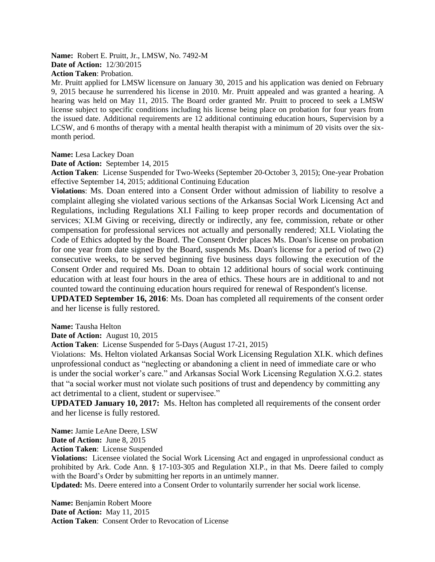**Name:** Robert E. Pruitt, Jr., LMSW, No. 7492-M **Date of Action:** 12/30/2015 **Action Taken**: Probation.

Mr. Pruitt applied for LMSW licensure on January 30, 2015 and his application was denied on February 9, 2015 because he surrendered his license in 2010. Mr. Pruitt appealed and was granted a hearing. A hearing was held on May 11, 2015. The Board order granted Mr. Pruitt to proceed to seek a LMSW license subject to specific conditions including his license being place on probation for four years from the issued date. Additional requirements are 12 additional continuing education hours, Supervision by a LCSW, and 6 months of therapy with a mental health therapist with a minimum of 20 visits over the sixmonth period.

#### **Name:** Lesa Lackey Doan

**Date of Action:** September 14, 2015

**Action Taken**: License Suspended for Two-Weeks (September 20-October 3, 2015); One-year Probation effective September 14, 2015; additional Continuing Education

**Violations**: Ms. Doan entered into a Consent Order without admission of liability to resolve a complaint alleging she violated various sections of the Arkansas Social Work Licensing Act and Regulations, including Regulations XI.I Failing to keep proper records and documentation of services; XI.M Giving or receiving, directly or indirectly, any fee, commission, rebate or other compensation for professional services not actually and personally rendered; XI.L Violating the Code of Ethics adopted by the Board. The Consent Order places Ms. Doan's license on probation for one year from date signed by the Board, suspends Ms. Doan's license for a period of two (2) consecutive weeks, to be served beginning five business days following the execution of the Consent Order and required Ms. Doan to obtain 12 additional hours of social work continuing education with at least four hours in the area of ethics. These hours are in additional to and not counted toward the continuing education hours required for renewal of Respondent's license.

**UPDATED September 16, 2016**: Ms. Doan has completed all requirements of the consent order and her license is fully restored.

**Name:** Tausha Helton

**Date of Action:** August 10, 2015

**Action Taken**: License Suspended for 5-Days (August 17-21, 2015)

Violations: Ms. Helton violated Arkansas Social Work Licensing Regulation XI.K. which defines unprofessional conduct as "neglecting or abandoning a client in need of immediate care or who is under the social worker's care." and Arkansas Social Work Licensing Regulation X.G.2. states that "a social worker must not violate such positions of trust and dependency by committing any act detrimental to a client, student or supervisee."

**UPDATED January 10, 2017:** Ms. Helton has completed all requirements of the consent order and her license is fully restored.

**Name:** Jamie LeAne Deere, LSW

**Date of Action:** June 8, 2015

**Action Taken**: License Suspended

**Violations:** Licensee violated the Social Work Licensing Act and engaged in unprofessional conduct as prohibited by Ark. Code Ann. § 17-103-305 and Regulation XI.P., in that Ms. Deere failed to comply with the Board's Order by submitting her reports in an untimely manner.

**Updated:** Ms. Deere entered into a Consent Order to voluntarily surrender her social work license.

**Name:** Benjamin Robert Moore **Date of Action:** May 11, 2015 **Action Taken**: Consent Order to Revocation of License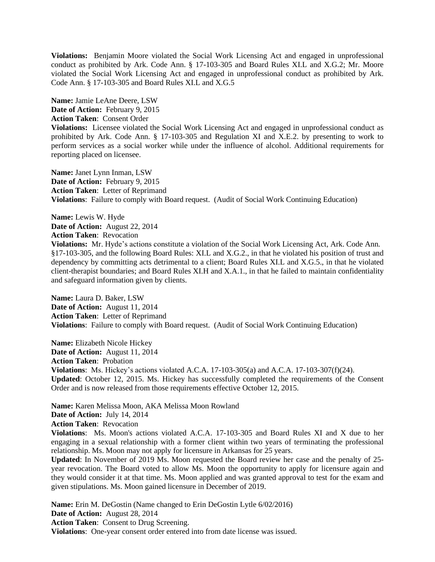**Violations:** Benjamin Moore violated the Social Work Licensing Act and engaged in unprofessional conduct as prohibited by Ark. Code Ann. § 17-103-305 and Board Rules XI.L and X.G.2; Mr. Moore violated the Social Work Licensing Act and engaged in unprofessional conduct as prohibited by Ark. Code Ann. § 17-103-305 and Board Rules XI.L and X.G.5

**Name:** Jamie LeAne Deere, LSW Date of Action: February 9, 2015 **Action Taken**: Consent Order **Violations:** Licensee violated the Social Work Licensing Act and engaged in unprofessional conduct as prohibited by Ark. Code Ann. § 17-103-305 and Regulation XI and X.E.2. by presenting to work to perform services as a social worker while under the influence of alcohol. Additional requirements for reporting placed on licensee.

**Name:** Janet Lynn Inman, LSW Date of Action: February 9, 2015 **Action Taken**: Letter of Reprimand **Violations**:Failure to comply with Board request. (Audit of Social Work Continuing Education)

**Name:** Lewis W. Hyde **Date of Action:** August 22, 2014 **Action Taken**: Revocation **Violations:** Mr. Hyde's actions constitute a violation of the Social Work Licensing Act, Ark. Code Ann. §17-103-305, and the following Board Rules: XI.L and X.G.2., in that he violated his position of trust and dependency by committing acts detrimental to a client; Board Rules XI.L and X.G.5., in that he violated client-therapist boundaries; and Board Rules XI.H and X.A.1., in that he failed to maintain confidentiality and safeguard information given by clients.

**Name:** Laura D. Baker, LSW **Date of Action:** August 11, 2014 **Action Taken**: Letter of Reprimand **Violations**:Failure to comply with Board request. (Audit of Social Work Continuing Education)

**Name:** Elizabeth Nicole Hickey **Date of Action:** August 11, 2014 **Action Taken**: Probation **Violations**:Ms. Hickey's actions violated A.C.A. 17-103-305(a) and A.C.A. 17-103-307(f)(24). **Updated**: October 12, 2015. Ms. Hickey has successfully completed the requirements of the Consent Order and is now released from those requirements effective October 12, 2015.

**Name:** Karen Melissa Moon, AKA Melissa Moon Rowland **Date of Action:** July 14, 2014 **Action Taken**: Revocation

**Violations**:Ms. Moon's actions violated A.C.A. 17-103-305 and Board Rules XI and X due to her engaging in a sexual relationship with a former client within two years of terminating the professional relationship. Ms. Moon may not apply for licensure in Arkansas for 25 years.

**Updated**: In November of 2019 Ms. Moon requested the Board review her case and the penalty of 25 year revocation. The Board voted to allow Ms. Moon the opportunity to apply for licensure again and they would consider it at that time. Ms. Moon applied and was granted approval to test for the exam and given stipulations. Ms. Moon gained licensure in December of 2019.

**Name:** Erin M. DeGostin (Name changed to Erin DeGostin Lytle 6/02/2016) **Date of Action:** August 28, 2014 **Action Taken**: Consent to Drug Screening. **Violations**:One-year consent order entered into from date license was issued.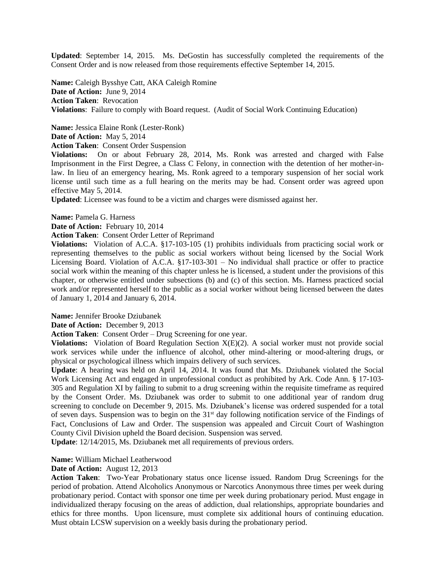**Updated**: September 14, 2015. Ms. DeGostin has successfully completed the requirements of the Consent Order and is now released from those requirements effective September 14, 2015.

**Name:** Caleigh Bysshye Catt, AKA Caleigh Romine **Date of Action:** June 9, 2014 **Action Taken**: Revocation **Violations**:Failure to comply with Board request. (Audit of Social Work Continuing Education)

**Name:** Jessica Elaine Ronk (Lester-Ronk) **Date of Action:** May 5, 2014

**Action Taken**: Consent Order Suspension

**Violations:** On or about February 28, 2014, Ms. Ronk was arrested and charged with False Imprisonment in the First Degree, a Class C Felony, in connection with the detention of her mother-inlaw. In lieu of an emergency hearing, Ms. Ronk agreed to a temporary suspension of her social work license until such time as a full hearing on the merits may be had. Consent order was agreed upon effective May 5, 2014.

**Updated**: Licensee was found to be a victim and charges were dismissed against her.

**Name:** Pamela G. Harness

**Date of Action:** February 10, 2014

**Action Taken**: Consent Order Letter of Reprimand

**Violations:** Violation of A.C.A. §17-103-105 (1) prohibits individuals from practicing social work or representing themselves to the public as social workers without being licensed by the Social Work Licensing Board. Violation of A.C.A. §17-103-301 – No individual shall practice or offer to practice social work within the meaning of this chapter unless he is licensed, a student under the provisions of this chapter, or otherwise entitled under subsections (b) and (c) of this section. Ms. Harness practiced social work and/or represented herself to the public as a social worker without being licensed between the dates of January 1, 2014 and January 6, 2014.

**Name:** Jennifer Brooke Dziubanek

**Date of Action:** December 9, 2013

**Action Taken**: Consent Order – Drug Screening for one year.

**Violations:** Violation of Board Regulation Section X(E)(2). A social worker must not provide social work services while under the influence of alcohol, other mind-altering or mood-altering drugs, or physical or psychological illness which impairs delivery of such services.

**Update**: A hearing was held on April 14, 2014. It was found that Ms. Dziubanek violated the Social Work Licensing Act and engaged in unprofessional conduct as prohibited by Ark. Code Ann. § 17-103- 305 and Regulation XI by failing to submit to a drug screening within the requisite timeframe as required by the Consent Order. Ms. Dziubanek was order to submit to one additional year of random drug screening to conclude on December 9, 2015. Ms. Dziubanek's license was ordered suspended for a total of seven days. Suspension was to begin on the  $31<sup>st</sup>$  day following notification service of the Findings of Fact, Conclusions of Law and Order. The suspension was appealed and Circuit Court of Washington County Civil Division upheld the Board decision. Suspension was served.

**Update**: 12/14/2015, Ms. Dziubanek met all requirements of previous orders.

### **Name:** William Michael Leatherwood

**Date of Action:** August 12, 2013

**Action Taken**: Two-Year Probationary status once license issued. Random Drug Screenings for the period of probation. Attend Alcoholics Anonymous or Narcotics Anonymous three times per week during probationary period. Contact with sponsor one time per week during probationary period. Must engage in individualized therapy focusing on the areas of addiction, dual relationships, appropriate boundaries and ethics for three months. Upon licensure, must complete six additional hours of continuing education. Must obtain LCSW supervision on a weekly basis during the probationary period.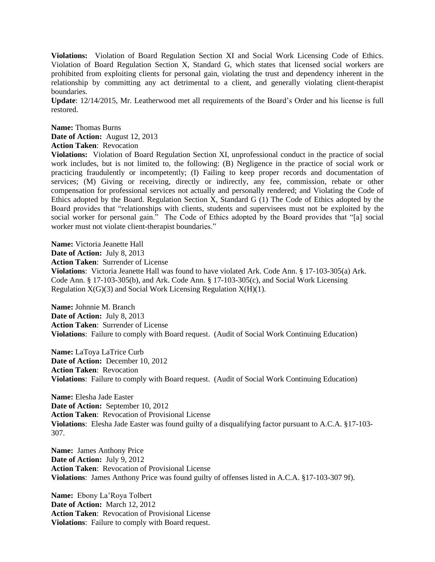**Violations:** Violation of Board Regulation Section XI and Social Work Licensing Code of Ethics. Violation of Board Regulation Section X, Standard G, which states that licensed social workers are prohibited from exploiting clients for personal gain, violating the trust and dependency inherent in the relationship by committing any act detrimental to a client, and generally violating client-therapist boundaries.

**Update**: 12/14/2015, Mr. Leatherwood met all requirements of the Board's Order and his license is full restored.

**Name:** Thomas Burns **Date of Action:** August 12, 2013 **Action Taken**: Revocation

**Violations:** Violation of Board Regulation Section XI, unprofessional conduct in the practice of social work includes, but is not limited to, the following: (B) Negligence in the practice of social work or practicing fraudulently or incompetently; (I) Failing to keep proper records and documentation of services; (M) Giving or receiving, directly or indirectly, any fee, commission, rebate or other compensation for professional services not actually and personally rendered; and Violating the Code of Ethics adopted by the Board. Regulation Section X, Standard G (1) The Code of Ethics adopted by the Board provides that "relationships with clients, students and supervisees must not be exploited by the social worker for personal gain." The Code of Ethics adopted by the Board provides that "[a] social worker must not violate client-therapist boundaries."

**Name:** Victoria Jeanette Hall **Date of Action:** July 8, 2013 **Action Taken**: Surrender of License **Violations**:Victoria Jeanette Hall was found to have violated Ark. Code Ann. § 17-103-305(a) Ark. Code Ann. § 17-103-305(b), and Ark. Code Ann. § 17-103-305(c), and Social Work Licensing Regulation  $X(G)(3)$  and Social Work Licensing Regulation  $X(H)(1)$ .

**Name:** Johnnie M. Branch **Date of Action:** July 8, 2013 **Action Taken**: Surrender of License **Violations**:Failure to comply with Board request. (Audit of Social Work Continuing Education)

**Name:** LaToya LaTrice Curb **Date of Action:** December 10, 2012 **Action Taken**: Revocation **Violations**:Failure to comply with Board request. (Audit of Social Work Continuing Education)

**Name:** Elesha Jade Easter **Date of Action:** September 10, 2012 **Action Taken**: Revocation of Provisional License **Violations**:Elesha Jade Easter was found guilty of a disqualifying factor pursuant to A.C.A. §17-103- 307.

**Name:** James Anthony Price **Date of Action:** July 9, 2012 **Action Taken**: Revocation of Provisional License **Violations**:James Anthony Price was found guilty of offenses listed in A.C.A. §17-103-307 9f).

**Name:** Ebony La'Roya Tolbert **Date of Action:** March 12, 2012 **Action Taken**: Revocation of Provisional License **Violations**:Failure to comply with Board request.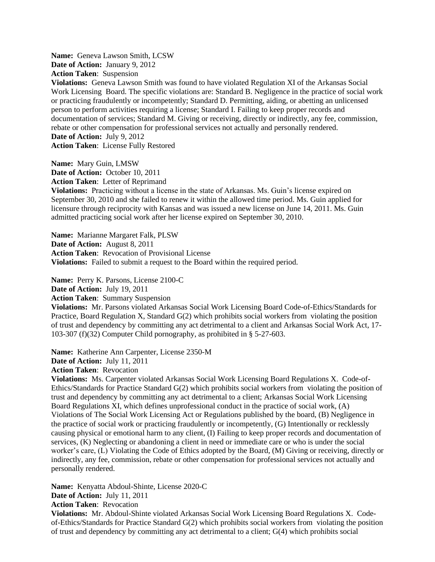**Name:** Geneva Lawson Smith, LCSW **Date of Action:** January 9, 2012 **Action Taken**: Suspension

**Violations:** Geneva Lawson Smith was found to have violated Regulation XI of the Arkansas Social Work Licensing Board. The specific violations are: Standard B. Negligence in the practice of social work or practicing fraudulently or incompetently; Standard D. Permitting, aiding, or abetting an unlicensed person to perform activities requiring a license; Standard I. Failing to keep proper records and documentation of services; Standard M. Giving or receiving, directly or indirectly, any fee, commission, rebate or other compensation for professional services not actually and personally rendered. **Date of Action:** July 9, 2012 **Action Taken**: License Fully Restored

**Name:** Mary Guin, LMSW **Date of Action:** October 10, 2011 **Action Taken**: Letter of Reprimand

**Violations:** Practicing without a license in the state of Arkansas. Ms. Guin's license expired on September 30, 2010 and she failed to renew it within the allowed time period. Ms. Guin applied for licensure through reciprocity with Kansas and was issued a new license on June 14, 2011. Ms. Guin admitted practicing social work after her license expired on September 30, 2010.

**Name:** Marianne Margaret Falk, PLSW **Date of Action:** August 8, 2011 **Action Taken**: Revocation of Provisional License **Violations:** Failed to submit a request to the Board within the required period.

**Name:** Perry K. Parsons, License 2100-C **Date of Action:** July 19, 2011 **Action Taken**: Summary Suspension **Violations:** Mr. Parsons violated Arkansas Social Work Licensing Board Code-of-Ethics/Standards for Practice, Board Regulation X, Standard G(2) which prohibits social workers from violating the position of trust and dependency by committing any act detrimental to a client and Arkansas Social Work Act, 17- 103-307 (f)(32) Computer Child pornography, as prohibited in § 5-27-603.

**Name:** Katherine Ann Carpenter, License 2350-M **Date of Action:** July 11, 2011 **Action Taken**: Revocation

**Violations:** Ms. Carpenter violated Arkansas Social Work Licensing Board Regulations X. Code-of-Ethics/Standards for Practice Standard G(2) which prohibits social workers from violating the position of trust and dependency by committing any act detrimental to a client; Arkansas Social Work Licensing Board Regulations XI, which defines unprofessional conduct in the practice of social work, (A) Violations of The Social Work Licensing Act or Regulations published by the board, (B) Negligence in the practice of social work or practicing fraudulently or incompetently, (G) Intentionally or recklessly causing physical or emotional harm to any client, (I) Failing to keep proper records and documentation of services, (K) Neglecting or abandoning a client in need or immediate care or who is under the social worker's care, (L) Violating the Code of Ethics adopted by the Board, (M) Giving or receiving, directly or indirectly, any fee, commission, rebate or other compensation for professional services not actually and personally rendered.

**Name:** Kenyatta Abdoul-Shinte, License 2020-C **Date of Action:** July 11, 2011 **Action Taken**: Revocation

**Violations:** Mr. Abdoul-Shinte violated Arkansas Social Work Licensing Board Regulations X. Codeof-Ethics/Standards for Practice Standard G(2) which prohibits social workers from violating the position of trust and dependency by committing any act detrimental to a client; G(4) which prohibits social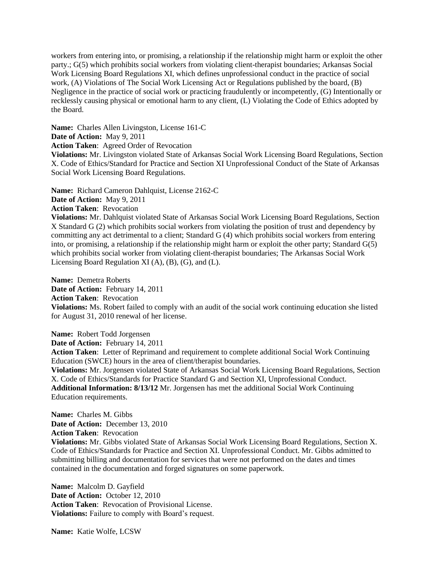workers from entering into, or promising, a relationship if the relationship might harm or exploit the other party.; G(5) which prohibits social workers from violating client-therapist boundaries; Arkansas Social Work Licensing Board Regulations XI, which defines unprofessional conduct in the practice of social work, (A) Violations of The Social Work Licensing Act or Regulations published by the board, (B) Negligence in the practice of social work or practicing fraudulently or incompetently, (G) Intentionally or recklessly causing physical or emotional harm to any client, (L) Violating the Code of Ethics adopted by the Board.

**Name:** Charles Allen Livingston, License 161-C **Date of Action:** May 9, 2011 **Action Taken**: Agreed Order of Revocation **Violations:** Mr. Livingston violated State of Arkansas Social Work Licensing Board Regulations, Section X. Code of Ethics/Standard for Practice and Section XI Unprofessional Conduct of the State of Arkansas Social Work Licensing Board Regulations.

**Name:** Richard Cameron Dahlquist, License 2162-C

**Date of Action:** May 9, 2011

**Action Taken**: Revocation

**Violations:** Mr. Dahlquist violated State of Arkansas Social Work Licensing Board Regulations, Section X Standard G (2) which prohibits social workers from violating the position of trust and dependency by committing any act detrimental to a client; Standard G (4) which prohibits social workers from entering into, or promising, a relationship if the relationship might harm or exploit the other party; Standard  $G(5)$ which prohibits social worker from violating client-therapist boundaries; The Arkansas Social Work Licensing Board Regulation XI (A), (B), (G), and (L).

**Name:** Demetra Roberts Date of Action: February 14, 2011 **Action Taken**: Revocation **Violations:** Ms. Robert failed to comply with an audit of the social work continuing education she listed for August 31, 2010 renewal of her license.

**Name:** Robert Todd Jorgensen

**Date of Action:** February 14, 2011

**Action Taken**: Letter of Reprimand and requirement to complete additional Social Work Continuing Education (SWCE) hours in the area of client/therapist boundaries.

**Violations:** Mr. Jorgensen violated State of Arkansas Social Work Licensing Board Regulations, Section X. Code of Ethics/Standards for Practice Standard G and Section XI, Unprofessional Conduct. **Additional Information: 8/13/12** Mr. Jorgensen has met the additional Social Work Continuing Education requirements.

**Name:** Charles M. Gibbs **Date of Action:** December 13, 2010 **Action Taken**: Revocation **Violations:** Mr. Gibbs violated State of Arkansas Social Work Licensing Board Regulations, Section X. Code of Ethics/Standards for Practice and Section XI. Unprofessional Conduct. Mr. Gibbs admitted to submitting billing and documentation for services that were not performed on the dates and times contained in the documentation and forged signatures on some paperwork.

**Name:** Malcolm D. Gayfield **Date of Action:** October 12, 2010 **Action Taken**: Revocation of Provisional License. **Violations:** Failure to comply with Board's request.

**Name:** Katie Wolfe, LCSW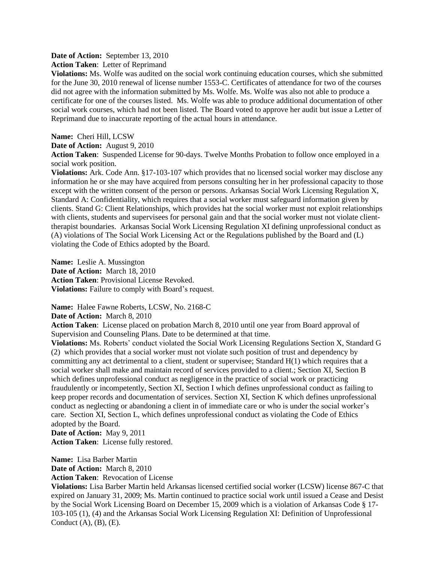**Date of Action:** September 13, 2010

**Action Taken**: Letter of Reprimand

**Violations:** Ms. Wolfe was audited on the social work continuing education courses, which she submitted for the June 30, 2010 renewal of license number 1553-C. Certificates of attendance for two of the courses did not agree with the information submitted by Ms. Wolfe. Ms. Wolfe was also not able to produce a certificate for one of the courses listed. Ms. Wolfe was able to produce additional documentation of other social work courses, which had not been listed. The Board voted to approve her audit but issue a Letter of Reprimand due to inaccurate reporting of the actual hours in attendance.

**Name:** Cheri Hill, LCSW

**Date of Action:** August 9, 2010

**Action Taken**: Suspended License for 90-days. Twelve Months Probation to follow once employed in a social work position.

**Violations:** Ark. Code Ann. §17-103-107 which provides that no licensed social worker may disclose any information he or she may have acquired from persons consulting her in her professional capacity to those except with the written consent of the person or persons. Arkansas Social Work Licensing Regulation X, Standard A: Confidentiality, which requires that a social worker must safeguard information given by clients. Stand G: Client Relationships, which provides hat the social worker must not exploit relationships with clients, students and supervisees for personal gain and that the social worker must not violate clienttherapist boundaries. Arkansas Social Work Licensing Regulation XI defining unprofessional conduct as (A) violations of The Social Work Licensing Act or the Regulations published by the Board and (L) violating the Code of Ethics adopted by the Board.

**Name:** Leslie A. Mussington **Date of Action:** March 18, 2010 **Action Taken**: Provisional License Revoked. **Violations:** Failure to comply with Board's request.

**Name:** Halee Fawne Roberts, LCSW, No. 2168-C

**Date of Action:** March 8, 2010

**Action Taken**: License placed on probation March 8, 2010 until one year from Board approval of Supervision and Counseling Plans. Date to be determined at that time.

**Violations:** Ms. Roberts' conduct violated the Social Work Licensing Regulations Section X, Standard G (2) which provides that a social worker must not violate such position of trust and dependency by committing any act detrimental to a client, student or supervisee; Standard H(1) which requires that a social worker shall make and maintain record of services provided to a client.; Section XI, Section B which defines unprofessional conduct as negligence in the practice of social work or practicing fraudulently or incompetently, Section XI, Section I which defines unprofessional conduct as failing to keep proper records and documentation of services. Section XI, Section K which defines unprofessional conduct as neglecting or abandoning a client in of immediate care or who is under the social worker's care. Section XI, Section L, which defines unprofessional conduct as violating the Code of Ethics adopted by the Board.

**Date of Action:** May 9, 2011 **Action Taken**: License fully restored.

**Name:** Lisa Barber Martin **Date of Action:** March 8, 2010

**Action Taken**: Revocation of License

**Violations:** Lisa Barber Martin held Arkansas licensed certified social worker (LCSW) license 867-C that expired on January 31, 2009; Ms. Martin continued to practice social work until issued a Cease and Desist by the Social Work Licensing Board on December 15, 2009 which is a violation of Arkansas Code § 17- 103-105 (1), (4) and the Arkansas Social Work Licensing Regulation XI: Definition of Unprofessional Conduct  $(A)$ ,  $(B)$ ,  $(E)$ .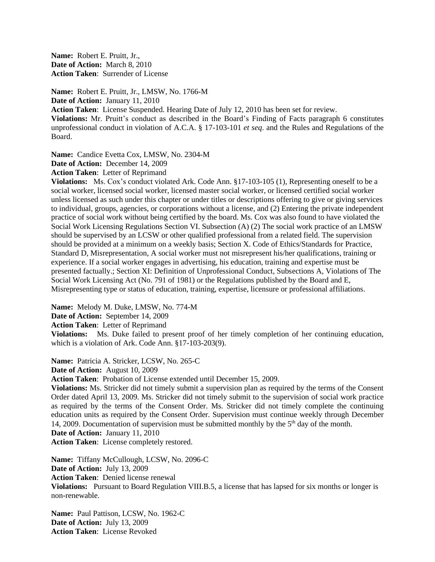**Name:** Robert E. Pruitt, Jr., **Date of Action:** March 8, 2010 **Action Taken**: Surrender of License

**Name:** Robert E. Pruitt, Jr., LMSW, No. 1766-M **Date of Action:** January 11, 2010 **Action Taken**: License Suspended. Hearing Date of July 12, 2010 has been set for review. **Violations:** Mr. Pruitt's conduct as described in the Board's Finding of Facts paragraph 6 constitutes unprofessional conduct in violation of A.C.A. § 17-103-101 *et seq*. and the Rules and Regulations of the Board.

**Name:** Candice Evetta Cox, LMSW, No. 2304-M

**Date of Action:** December 14, 2009

**Action Taken**: Letter of Reprimand

**Violations:** Ms. Cox's conduct violated Ark. Code Ann. §17-103-105 (1), Representing oneself to be a social worker, licensed social worker, licensed master social worker, or licensed certified social worker unless licensed as such under this chapter or under titles or descriptions offering to give or giving services to individual, groups, agencies, or corporations without a license, and (2) Entering the private independent practice of social work without being certified by the board. Ms. Cox was also found to have violated the Social Work Licensing Regulations Section VI. Subsection (A) (2) The social work practice of an LMSW should be supervised by an LCSW or other qualified professional from a related field. The supervision should be provided at a minimum on a weekly basis; Section X. Code of Ethics/Standards for Practice, Standard D, Misrepresentation, A social worker must not misrepresent his/her qualifications, training or experience. If a social worker engages in advertising, his education, training and expertise must be presented factually.; Section XI: Definition of Unprofessional Conduct, Subsections A, Violations of The Social Work Licensing Act (No. 791 of 1981) or the Regulations published by the Board and E, Misrepresenting type or status of education, training, expertise, licensure or professional affiliations.

**Name:** Melody M. Duke, LMSW, No. 774-M

**Date of Action:** September 14, 2009

**Action Taken**: Letter of Reprimand

**Violations:** Ms. Duke failed to present proof of her timely completion of her continuing education, which is a violation of Ark. Code Ann. §17-103-203(9).

**Name:** Patricia A. Stricker, LCSW, No. 265-C

**Date of Action:** August 10, 2009

**Action Taken**: Probation of License extended until December 15, 2009.

**Violations:** Ms. Stricker did not timely submit a supervision plan as required by the terms of the Consent Order dated April 13, 2009. Ms. Stricker did not timely submit to the supervision of social work practice as required by the terms of the Consent Order. Ms. Stricker did not timely complete the continuing education units as required by the Consent Order. Supervision must continue weekly through December 14, 2009. Documentation of supervision must be submitted monthly by the 5<sup>th</sup> day of the month.

**Date of Action:** January 11, 2010

**Action Taken**: License completely restored.

**Name:** Tiffany McCullough, LCSW, No. 2096-C **Date of Action:** July 13, 2009 **Action Taken**: Denied license renewal **Violations:** Pursuant to Board Regulation VIII.B.5, a license that has lapsed for six months or longer is non-renewable.

**Name:** Paul Pattison, LCSW, No. 1962-C **Date of Action:** July 13, 2009 **Action Taken**: License Revoked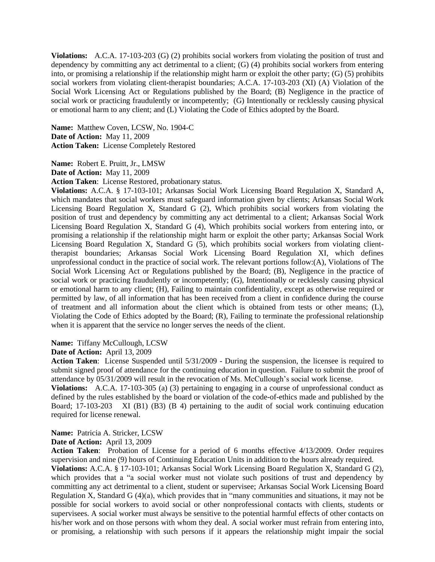**Violations:** A.C.A. 17-103-203 (G) (2) prohibits social workers from violating the position of trust and dependency by committing any act detrimental to a client; (G) (4) prohibits social workers from entering into, or promising a relationship if the relationship might harm or exploit the other party; (G) (5) prohibits social workers from violating client-therapist boundaries; A.C.A. 17-103-203 (XI) (A) Violation of the Social Work Licensing Act or Regulations published by the Board; (B) Negligence in the practice of social work or practicing fraudulently or incompetently; (G) Intentionally or recklessly causing physical or emotional harm to any client; and (L) Violating the Code of Ethics adopted by the Board.

**Name:** Matthew Coven, LCSW, No. 1904-C **Date of Action:** May 11, 2009 **Action Taken:** License Completely Restored

**Name:** Robert E. Pruitt, Jr., LMSW **Date of Action:** May 11, 2009

**Action Taken**: License Restored, probationary status.

**Violations:** A.C.A. § 17-103-101; Arkansas Social Work Licensing Board Regulation X, Standard A, which mandates that social workers must safeguard information given by clients; Arkansas Social Work Licensing Board Regulation X, Standard G (2), Which prohibits social workers from violating the position of trust and dependency by committing any act detrimental to a client; Arkansas Social Work Licensing Board Regulation X, Standard G (4), Which prohibits social workers from entering into, or promising a relationship if the relationship might harm or exploit the other party; Arkansas Social Work Licensing Board Regulation X, Standard G (5), which prohibits social workers from violating clienttherapist boundaries; Arkansas Social Work Licensing Board Regulation XI, which defines unprofessional conduct in the practice of social work. The relevant portions follow:(A), Violations of The Social Work Licensing Act or Regulations published by the Board; (B), Negligence in the practice of social work or practicing fraudulently or incompetently; (G), Intentionally or recklessly causing physical or emotional harm to any client; (H), Failing to maintain confidentiality, except as otherwise required or permitted by law, of all information that has been received from a client in confidence during the course of treatment and all information about the client which is obtained from tests or other means; (L), Violating the Code of Ethics adopted by the Board; (R), Failing to terminate the professional relationship when it is apparent that the service no longer serves the needs of the client.

### **Name:** Tiffany McCullough, LCSW

# **Date of Action:** April 13, 2009

**Action Taken**: License Suspended until 5/31/2009 - During the suspension, the licensee is required to submit signed proof of attendance for the continuing education in question. Failure to submit the proof of attendance by 05/31/2009 will result in the revocation of Ms. McCullough's social work license.

**Violations:** A.C.A. 17-103-305 (a) (3) pertaining to engaging in a course of unprofessional conduct as defined by the rules established by the board or violation of the code-of-ethics made and published by the Board; 17-103-203 XI (B1) (B3) (B 4) pertaining to the audit of social work continuing education required for license renewal.

**Name:** Patricia A. Stricker, LCSW

# **Date of Action:** April 13, 2009

**Action Taken**: Probation of License for a period of 6 months effective 4/13/2009. Order requires supervision and nine (9) hours of Continuing Education Units in addition to the hours already required.

**Violations:** A.C.A. § 17-103-101; Arkansas Social Work Licensing Board Regulation X, Standard G (2), which provides that a "a social worker must not violate such positions of trust and dependency by committing any act detrimental to a client, student or supervisee; Arkansas Social Work Licensing Board Regulation X, Standard G (4)(a), which provides that in "many communities and situations, it may not be possible for social workers to avoid social or other nonprofessional contacts with clients, students or supervisees. A social worker must always be sensitive to the potential harmful effects of other contacts on his/her work and on those persons with whom they deal. A social worker must refrain from entering into, or promising, a relationship with such persons if it appears the relationship might impair the social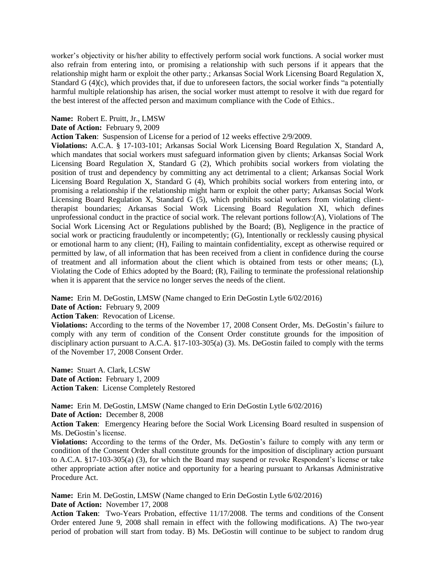worker's objectivity or his/her ability to effectively perform social work functions. A social worker must also refrain from entering into, or promising a relationship with such persons if it appears that the relationship might harm or exploit the other party.; Arkansas Social Work Licensing Board Regulation X, Standard  $\tilde{G}(4)(c)$ , which provides that, if due to unforeseen factors, the social worker finds "a potentially harmful multiple relationship has arisen, the social worker must attempt to resolve it with due regard for the best interest of the affected person and maximum compliance with the Code of Ethics..

# **Name:** Robert E. Pruitt, Jr., LMSW

# **Date of Action:** February 9, 2009

**Action Taken**: Suspension of License for a period of 12 weeks effective 2/9/2009.

**Violations:** A.C.A. § 17-103-101; Arkansas Social Work Licensing Board Regulation X, Standard A, which mandates that social workers must safeguard information given by clients; Arkansas Social Work Licensing Board Regulation X, Standard G (2), Which prohibits social workers from violating the position of trust and dependency by committing any act detrimental to a client; Arkansas Social Work Licensing Board Regulation X, Standard G (4), Which prohibits social workers from entering into, or promising a relationship if the relationship might harm or exploit the other party; Arkansas Social Work Licensing Board Regulation X, Standard G (5), which prohibits social workers from violating clienttherapist boundaries; Arkansas Social Work Licensing Board Regulation XI, which defines unprofessional conduct in the practice of social work. The relevant portions follow:(A), Violations of The Social Work Licensing Act or Regulations published by the Board; (B), Negligence in the practice of social work or practicing fraudulently or incompetently; (G), Intentionally or recklessly causing physical or emotional harm to any client; (H), Failing to maintain confidentiality, except as otherwise required or permitted by law, of all information that has been received from a client in confidence during the course of treatment and all information about the client which is obtained from tests or other means; (L), Violating the Code of Ethics adopted by the Board; (R), Failing to terminate the professional relationship when it is apparent that the service no longer serves the needs of the client.

**Name:** Erin M. DeGostin, LMSW (Name changed to Erin DeGostin Lytle 6/02/2016)

**Date of Action:** February 9, 2009

**Action Taken**: Revocation of License.

**Violations:** According to the terms of the November 17, 2008 Consent Order, Ms. DeGostin's failure to comply with any term of condition of the Consent Order constitute grounds for the imposition of disciplinary action pursuant to A.C.A. §17-103-305(a) (3). Ms. DeGostin failed to comply with the terms of the November 17, 2008 Consent Order.

**Name:** Stuart A. Clark, LCSW **Date of Action:** February 1, 2009 **Action Taken**:License Completely Restored

**Name:** Erin M. DeGostin, LMSW (Name changed to Erin DeGostin Lytle 6/02/2016)

**Date of Action:** December 8, 2008

**Action Taken**: Emergency Hearing before the Social Work Licensing Board resulted in suspension of Ms. DeGostin's license.

**Violations:** According to the terms of the Order, Ms. DeGostin's failure to comply with any term or condition of the Consent Order shall constitute grounds for the imposition of disciplinary action pursuant to A.C.A. §17-103-305(a) (3), for which the Board may suspend or revoke Respondent's license or take other appropriate action after notice and opportunity for a hearing pursuant to Arkansas Administrative Procedure Act.

**Name:** Erin M. DeGostin, LMSW (Name changed to Erin DeGostin Lytle 6/02/2016) **Date of Action:** November 17, 2008

**Action Taken**: Two-Years Probation, effective 11/17/2008. The terms and conditions of the Consent Order entered June 9, 2008 shall remain in effect with the following modifications. A) The two-year period of probation will start from today. B) Ms. DeGostin will continue to be subject to random drug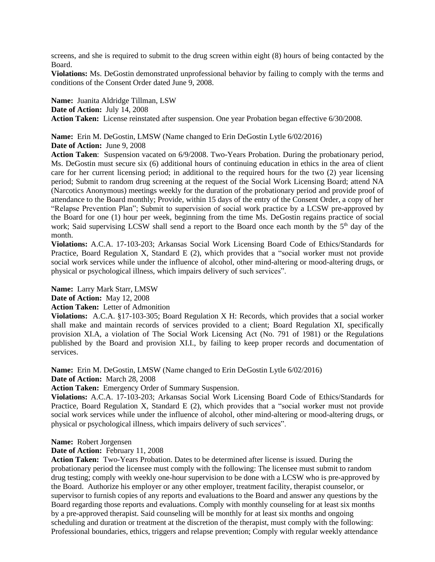screens, and she is required to submit to the drug screen within eight (8) hours of being contacted by the Board.

**Violations:** Ms. DeGostin demonstrated unprofessional behavior by failing to comply with the terms and conditions of the Consent Order dated June 9, 2008.

**Name:** Juanita Aldridge Tillman, LSW **Date of Action:** July 14, 2008 **Action Taken:** License reinstated after suspension. One year Probation began effective 6/30/2008.

**Name:** Erin M. DeGostin, LMSW (Name changed to Erin DeGostin Lytle 6/02/2016) **Date of Action:** June 9, 2008

**Action Taken**: Suspension vacated on 6/9/2008. Two-Years Probation. During the probationary period, Ms. DeGostin must secure six (6) additional hours of continuing education in ethics in the area of client care for her current licensing period; in additional to the required hours for the two (2) year licensing period; Submit to random drug screening at the request of the Social Work Licensing Board; attend NA (Narcotics Anonymous) meetings weekly for the duration of the probationary period and provide proof of attendance to the Board monthly; Provide, within 15 days of the entry of the Consent Order, a copy of her "Relapse Prevention Plan"; Submit to supervision of social work practice by a LCSW pre-approved by the Board for one (1) hour per week, beginning from the time Ms. DeGostin regains practice of social work; Said supervising LCSW shall send a report to the Board once each month by the 5<sup>th</sup> day of the month.

**Violations:** A.C.A. 17-103-203; Arkansas Social Work Licensing Board Code of Ethics/Standards for Practice, Board Regulation X, Standard E (2), which provides that a "social worker must not provide social work services while under the influence of alcohol, other mind-altering or mood-altering drugs, or physical or psychological illness, which impairs delivery of such services".

**Name:** Larry Mark Starr, LMSW

**Date of Action:** May 12, 2008

**Action Taken:** Letter of Admonition

**Violations:** A.C.A. §17-103-305; Board Regulation X H: Records, which provides that a social worker shall make and maintain records of services provided to a client; Board Regulation XI, specifically provision XI.A, a violation of The Social Work Licensing Act (No. 791 of 1981) or the Regulations published by the Board and provision XI.I., by failing to keep proper records and documentation of services.

**Name:** Erin M. DeGostin, LMSW (Name changed to Erin DeGostin Lytle 6/02/2016) **Date of Action:** March 28, 2008

**Action Taken:** Emergency Order of Summary Suspension.

**Violations:** A.C.A. 17-103-203; Arkansas Social Work Licensing Board Code of Ethics/Standards for Practice, Board Regulation X, Standard E (2), which provides that a "social worker must not provide social work services while under the influence of alcohol, other mind-altering or mood-altering drugs, or physical or psychological illness, which impairs delivery of such services".

### **Name:** Robert Jorgensen

**Date of Action:** February 11, 2008

**Action Taken:** Two-Years Probation. Dates to be determined after license is issued. During the probationary period the licensee must comply with the following: The licensee must submit to random drug testing; comply with weekly one-hour supervision to be done with a LCSW who is pre-approved by the Board. Authorize his employer or any other employer, treatment facility, therapist counselor, or supervisor to furnish copies of any reports and evaluations to the Board and answer any questions by the Board regarding those reports and evaluations. Comply with monthly counseling for at least six months by a pre-approved therapist. Said counseling will be monthly for at least six months and ongoing scheduling and duration or treatment at the discretion of the therapist, must comply with the following: Professional boundaries, ethics, triggers and relapse prevention; Comply with regular weekly attendance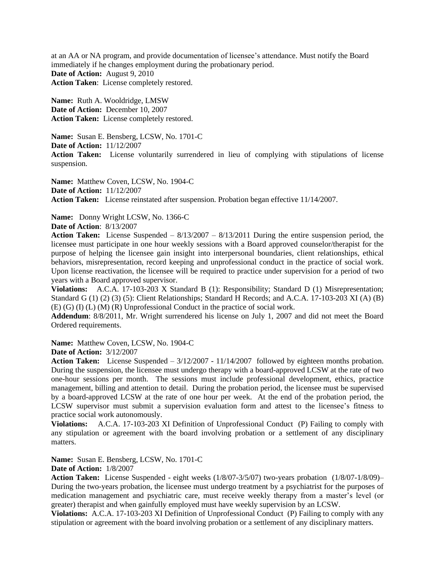at an AA or NA program, and provide documentation of licensee's attendance. Must notify the Board immediately if he changes employment during the probationary period. **Date of Action:** August 9, 2010 **Action Taken**: License completely restored.

**Name:** Ruth A. Wooldridge, LMSW **Date of Action:** December 10, 2007 **Action Taken:** License completely restored.

**Name:** Susan E. Bensberg, LCSW, No. 1701-C **Date of Action:** 11/12/2007 **Action Taken:** License voluntarily surrendered in lieu of complying with stipulations of license suspension.

**Name:** Matthew Coven, LCSW, No. 1904-C **Date of Action:** 11/12/2007 **Action Taken:** License reinstated after suspension. Probation began effective 11/14/2007.

**Name:** Donny Wright LCSW, No. 1366-C

**Date of Action**: 8/13/2007

**Action Taken:** License Suspended – 8/13/2007 – 8/13/2011 During the entire suspension period, the licensee must participate in one hour weekly sessions with a Board approved counselor/therapist for the purpose of helping the licensee gain insight into interpersonal boundaries, client relationships, ethical behaviors, misrepresentation, record keeping and unprofessional conduct in the practice of social work. Upon license reactivation, the licensee will be required to practice under supervision for a period of two years with a Board approved supervisor.

**Violations:** A.C.A. 17-103-203 X Standard B (1): Responsibility; Standard D (1) Misrepresentation; Standard G (1) (2) (3) (5): Client Relationships; Standard H Records; and A.C.A. 17-103-203 XI (A) (B) (E) (G) (I) (L) (M) (R) Unprofessional Conduct in the practice of social work.

**Addendum**: 8/8/2011, Mr. Wright surrendered his license on July 1, 2007 and did not meet the Board Ordered requirements.

**Name:** Matthew Coven, LCSW, No. 1904-C

**Date of Action:** 3/12/2007

**Action Taken:** License Suspended – 3/12/2007 - 11/14/2007 followed by eighteen months probation. During the suspension, the licensee must undergo therapy with a board-approved LCSW at the rate of two one-hour sessions per month. The sessions must include professional development, ethics, practice management, billing and attention to detail. During the probation period, the licensee must be supervised by a board-approved LCSW at the rate of one hour per week. At the end of the probation period, the LCSW supervisor must submit a supervision evaluation form and attest to the licensee's fitness to practice social work autonomously.

**Violations:** A.C.A. 17-103-203 XI Definition of Unprofessional Conduct (P) Failing to comply with any stipulation or agreement with the board involving probation or a settlement of any disciplinary matters.

**Name:** Susan E. Bensberg, LCSW, No. 1701-C

**Date of Action:** 1/8/2007

**Action Taken:** License Suspended - eight weeks (1/8/07-3/5/07) two-years probation (1/8/07-1/8/09)– During the two-years probation, the licensee must undergo treatment by a psychiatrist for the purposes of medication management and psychiatric care, must receive weekly therapy from a master's level (or greater) therapist and when gainfully employed must have weekly supervision by an LCSW.

**Violations:** A.C.A. 17-103-203 XI Definition of Unprofessional Conduct (P) Failing to comply with any stipulation or agreement with the board involving probation or a settlement of any disciplinary matters.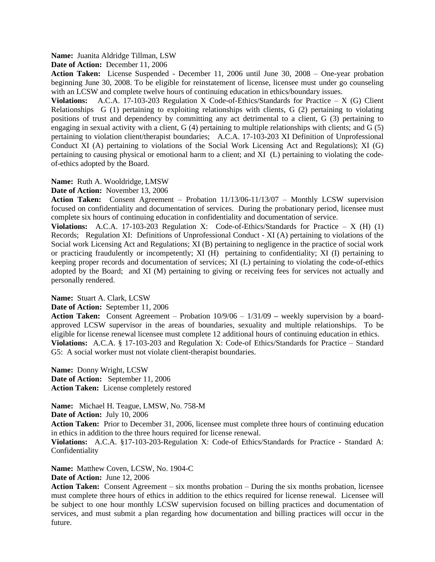## **Name:** Juanita Aldridge Tillman, LSW

**Date of Action:** December 11, 2006

**Action Taken:** License Suspended - December 11, 2006 until June 30, 2008 – One-year probation beginning June 30, 2008. To be eligible for reinstatement of license, licensee must under go counseling with an LCSW and complete twelve hours of continuing education in ethics/boundary issues.

**Violations:** A.C.A. 17-103-203 Regulation X Code-of-Ethics/Standards for Practice  $- X$  (G) Client Relationships G (1) pertaining to exploiting relationships with clients, G (2) pertaining to violating positions of trust and dependency by committing any act detrimental to a client, G (3) pertaining to engaging in sexual activity with a client, G (4) pertaining to multiple relationships with clients; and G (5) pertaining to violation client/therapist boundaries; A.C.A. 17-103-203 XI Definition of Unprofessional Conduct XI (A) pertaining to violations of the Social Work Licensing Act and Regulations); XI (G) pertaining to causing physical or emotional harm to a client; and XI (L) pertaining to violating the codeof-ethics adopted by the Board.

## **Name:** Ruth A. Wooldridge, LMSW

## **Date of Action:** November 13, 2006

**Action Taken:** Consent Agreement – Probation 11/13/06-11/13/07 – Monthly LCSW supervision focused on confidentiality and documentation of services. During the probationary period, licensee must complete six hours of continuing education in confidentiality and documentation of service.

**Violations:** A.C.A. 17-103-203 Regulation X: Code-of-Ethics/Standards for Practice – X (H) (1) Records; Regulation XI: Definitions of Unprofessional Conduct - XI (A) pertaining to violations of the Social work Licensing Act and Regulations; XI (B) pertaining to negligence in the practice of social work or practicing fraudulently or incompetently; XI (H) pertaining to confidentiality; XI (I) pertaining to keeping proper records and documentation of services; XI (L) pertaining to violating the code-of-ethics adopted by the Board; and XI (M) pertaining to giving or receiving fees for services not actually and personally rendered.

### **Name:** Stuart A. Clark, LCSW

### **Date of Action:** September 11, 2006

**Action Taken:** Consent Agreement – Probation 10/9/06 – 1/31/09 **–** weekly supervision by a boardapproved LCSW supervisor in the areas of boundaries, sexuality and multiple relationships. To be eligible for license renewal licensee must complete 12 additional hours of continuing education in ethics. **Violations:** A.C.A. § 17-103-203 and Regulation X: Code-of Ethics/Standards for Practice – Standard G5: A social worker must not violate client-therapist boundaries.

**Name:** Donny Wright, LCSW **Date of Action:** September 11, 2006 **Action Taken:** License completely restored

**Name:** Michael H. Teague, LMSW, No. 758-M

**Date of Action:** July 10, 2006

**Action Taken:** Prior to December 31, 2006, licensee must complete three hours of continuing education in ethics in addition to the three hours required for license renewal.

**Violations:** A.C.A. §17-103-203-Regulation X: Code-of Ethics/Standards for Practice - Standard A: Confidentiality

**Name:** Matthew Coven, LCSW, No. 1904-C

**Date of Action:** June 12, 2006

**Action Taken:** Consent Agreement – six months probation – During the six months probation, licensee must complete three hours of ethics in addition to the ethics required for license renewal. Licensee will be subject to one hour monthly LCSW supervision focused on billing practices and documentation of services, and must submit a plan regarding how documentation and billing practices will occur in the future.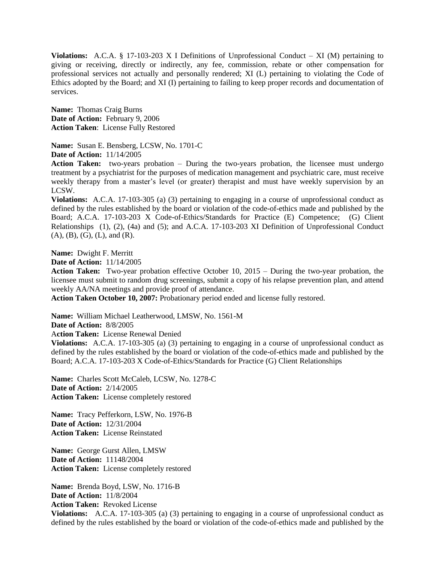**Violations:** A.C.A. § 17-103-203 X I Definitions of Unprofessional Conduct – XI (M) pertaining to giving or receiving, directly or indirectly, any fee, commission, rebate or other compensation for professional services not actually and personally rendered; XI (L) pertaining to violating the Code of Ethics adopted by the Board; and XI (I) pertaining to failing to keep proper records and documentation of services.

**Name:** Thomas Craig Burns **Date of Action:** February 9, 2006 **Action Taken**: License Fully Restored

**Name:** Susan E. Bensberg, LCSW, No. 1701-C

**Date of Action:** 11/14/2005

Action Taken: two-years probation – During the two-years probation, the licensee must undergo treatment by a psychiatrist for the purposes of medication management and psychiatric care, must receive weekly therapy from a master's level (or greater) therapist and must have weekly supervision by an LCSW.

**Violations:** A.C.A. 17-103-305 (a) (3) pertaining to engaging in a course of unprofessional conduct as defined by the rules established by the board or violation of the code-of-ethics made and published by the Board; A.C.A. 17-103-203 X Code-of-Ethics/Standards for Practice (E) Competence; (G) Client Relationships (1), (2), (4a) and (5); and A.C.A. 17-103-203 XI Definition of Unprofessional Conduct (A), (B), (G), (L), and (R).

**Name:** Dwight F. Merritt

**Date of Action:** 11/14/2005

**Action Taken:** Two-year probation effective October 10, 2015 – During the two-year probation, the licensee must submit to random drug screenings, submit a copy of his relapse prevention plan, and attend weekly AA/NA meetings and provide proof of attendance.

**Action Taken October 10, 2007:** Probationary period ended and license fully restored.

**Name:** William Michael Leatherwood, LMSW, No. 1561-M

**Date of Action:** 8/8/2005

A**ction Taken:** License Renewal Denied

**Violations:** A.C.A. 17-103-305 (a) (3) pertaining to engaging in a course of unprofessional conduct as defined by the rules established by the board or violation of the code-of-ethics made and published by the Board; A.C.A. 17-103-203 X Code-of-Ethics/Standards for Practice (G) Client Relationships

**Name:** Charles Scott McCaleb, LCSW, No. 1278-C **Date of Action:** 2/14/2005 **Action Taken:** License completely restored

**Name:** Tracy Pefferkorn, LSW, No. 1976-B **Date of Action:** 12/31/2004 **Action Taken:** License Reinstated

**Name:** George Gurst Allen, LMSW **Date of Action:** 11148/2004 **Action Taken:** License completely restored

**Name:** Brenda Boyd, LSW, No. 1716-B **Date of Action:** 11/8/2004

**Action Taken:** Revoked License

**Violations:** A.C.A. 17-103-305 (a) (3) pertaining to engaging in a course of unprofessional conduct as defined by the rules established by the board or violation of the code-of-ethics made and published by the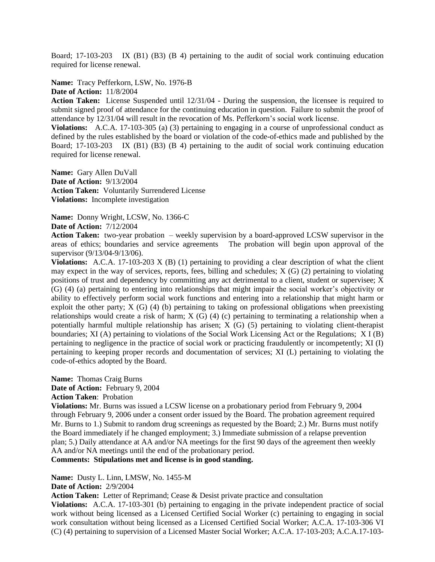Board; 17-103-203 IX (B1) (B3) (B 4) pertaining to the audit of social work continuing education required for license renewal.

**Name:** Tracy Pefferkorn, LSW, No. 1976-B

**Date of Action:** 11/8/2004

**Action Taken:** License Suspended until 12/31/04 - During the suspension, the licensee is required to submit signed proof of attendance for the continuing education in question. Failure to submit the proof of attendance by 12/31/04 will result in the revocation of Ms. Pefferkorn's social work license.

**Violations:** A.C.A. 17-103-305 (a) (3) pertaining to engaging in a course of unprofessional conduct as defined by the rules established by the board or violation of the code-of-ethics made and published by the Board; 17-103-203 IX (B1) (B3) (B 4) pertaining to the audit of social work continuing education required for license renewal.

**Name:** Gary Allen DuVall **Date of Action:** 9/13/2004 **Action Taken:** Voluntarily Surrendered License **Violations:** Incomplete investigation

**Name:** Donny Wright, LCSW, No. 1366-C **Date of Action:** 7/12/2004

**Action Taken:** two-year probation – weekly supervision by a board-approved LCSW supervisor in the areas of ethics; boundaries and service agreements The probation will begin upon approval of the supervisor (9/13/04-9/13/06).

**Violations:** A.C.A. 17-103-203 X (B) (1) pertaining to providing a clear description of what the client may expect in the way of services, reports, fees, billing and schedules; X (G) (2) pertaining to violating positions of trust and dependency by committing any act detrimental to a client, student or supervisee; X  $(G)$  (4) (a) pertaining to entering into relationships that might impair the social worker's objectivity or ability to effectively perform social work functions and entering into a relationship that might harm or exploit the other party; X (G) (4) (b) pertaining to taking on professional obligations when preexisting relationships would create a risk of harm; X (G) (4) (c) pertaining to terminating a relationship when a potentially harmful multiple relationship has arisen; X (G) (5) pertaining to violating client-therapist boundaries; XI (A) pertaining to violations of the Social Work Licensing Act or the Regulations; X I (B) pertaining to negligence in the practice of social work or practicing fraudulently or incompetently; XI (I) pertaining to keeping proper records and documentation of services; XI (L) pertaining to violating the code-of-ethics adopted by the Board.

**Name:** Thomas Craig Burns **Date of Action:** February 9, 2004

**Action Taken**: Probation

**Violations:** Mr. Burns was issued a LCSW license on a probationary period from February 9, 2004 through February 9, 2006 under a consent order issued by the Board. The probation agreement required Mr. Burns to 1.) Submit to random drug screenings as requested by the Board; 2.) Mr. Burns must notify the Board immediately if he changed employment; 3.) Immediate submission of a relapse prevention plan; 5.) Daily attendance at AA and/or NA meetings for the first 90 days of the agreement then weekly AA and/or NA meetings until the end of the probationary period.

**Comments: Stipulations met and license is in good standing.**

**Name:** Dusty L. Linn, LMSW, No. 1455-M

**Date of Action:** 2/9/2004

**Action Taken:** Letter of Reprimand; Cease & Desist private practice and consultation

**Violations:** A.C.A. 17-103-301 (b) pertaining to engaging in the private independent practice of social work without being licensed as a Licensed Certified Social Worker (c) pertaining to engaging in social work consultation without being licensed as a Licensed Certified Social Worker; A.C.A. 17-103-306 VI (C) (4) pertaining to supervision of a Licensed Master Social Worker; A.C.A. 17-103-203; A.C.A.17-103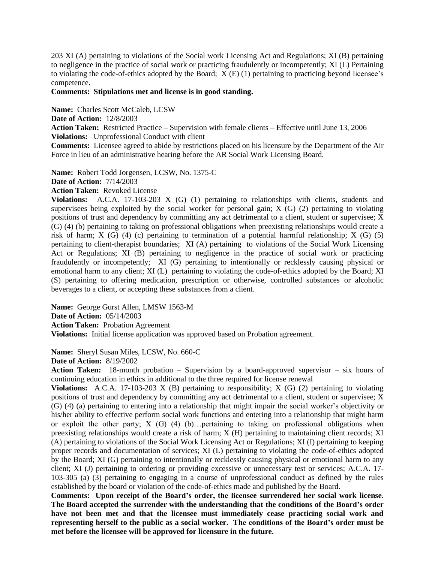203 XI (A) pertaining to violations of the Social work Licensing Act and Regulations; XI (B) pertaining to negligence in the practice of social work or practicing fraudulently or incompetently; XI (L) Pertaining to violating the code-of-ethics adopted by the Board;  $\overline{X}$  (E) (1) pertaining to practicing beyond licensee's competence.

## **Comments: Stipulations met and license is in good standing.**

**Name:** Charles Scott McCaleb, LCSW

**Date of Action:** 12/8/2003

**Action Taken:** Restricted Practice – Supervision with female clients – Effective until June 13, 2006 **Violations:** Unprofessional Conduct with client

**Comments:** Licensee agreed to abide by restrictions placed on his licensure by the Department of the Air Force in lieu of an administrative hearing before the AR Social Work Licensing Board.

**Name:** Robert Todd Jorgensen, LCSW, No. 1375-C

**Date of Action:** 7/14/2003

**Action Taken:** Revoked License

**Violations:** A.C.A. 17-103-203 X (G) (1) pertaining to relationships with clients, students and supervisees being exploited by the social worker for personal gain; X (G) (2) pertaining to violating positions of trust and dependency by committing any act detrimental to a client, student or supervisee; X (G) (4) (b) pertaining to taking on professional obligations when preexisting relationships would create a risk of harm;  $X(G)$  (4) (c) pertaining to termination of a potential harmful relationship;  $X(G)$  (5) pertaining to client-therapist boundaries; XI (A) pertaining to violations of the Social Work Licensing Act or Regulations; XI (B) pertaining to negligence in the practice of social work or practicing fraudulently or incompetently; XI (G) pertaining to intentionally or recklessly causing physical or emotional harm to any client; XI (L) pertaining to violating the code-of-ethics adopted by the Board; XI (S) pertaining to offering medication, prescription or otherwise, controlled substances or alcoholic beverages to a client, or accepting these substances from a client.

**Name:** George Gurst Allen, LMSW 1563-M **Date of Action:** 05/14/2003 **Action Taken:** Probation Agreement

**Violations:** Initial license application was approved based on Probation agreement.

**Name:** Sheryl Susan Miles, LCSW, No. 660-C

**Date of Action:** 8/19/2002

**Action Taken:** 18-month probation – Supervision by a board-approved supervisor – six hours of continuing education in ethics in additional to the three required for license renewal

**Violations:** A.C.A. 17-103-203 X (B) pertaining to responsibility; X (G) (2) pertaining to violating positions of trust and dependency by committing any act detrimental to a client, student or supervisee; X (G) (4) (a) pertaining to entering into a relationship that might impair the social worker's objectivity or his/her ability to effective perform social work functions and entering into a relationship that might harm or exploit the other party; X (G) (4) (b)…pertaining to taking on professional obligations when preexisting relationships would create a risk of harm; X (H) pertaining to maintaining client records; XI (A) pertaining to violations of the Social Work Licensing Act or Regulations; XI (I) pertaining to keeping proper records and documentation of services; XI (L) pertaining to violating the code-of-ethics adopted by the Board; XI (G) pertaining to intentionally or recklessly causing physical or emotional harm to any client; XI (J) pertaining to ordering or providing excessive or unnecessary test or services; A.C.A. 17- 103-305 (a) (3) pertaining to engaging in a course of unprofessional conduct as defined by the rules established by the board or violation of the code-of-ethics made and published by the Board.

**Comments: Upon receipt of the Board's order, the licensee surrendered her social work license**. **The Board accepted the surrender with the understanding that the conditions of the Board's order have not been met and that the licensee must immediately cease practicing social work and representing herself to the public as a social worker. The conditions of the Board's order must be met before the licensee will be approved for licensure in the future.**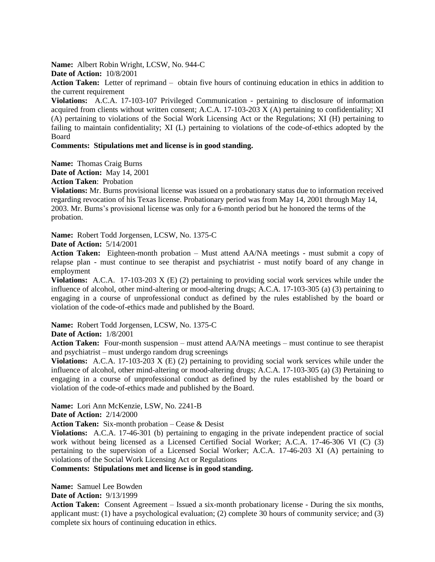**Name:** Albert Robin Wright, LCSW, No. 944-C

**Date of Action:** 10/8/2001

**Action Taken:** Letter of reprimand – obtain five hours of continuing education in ethics in addition to the current requirement

**Violations:** A.C.A. 17-103-107 Privileged Communication - pertaining to disclosure of information acquired from clients without written consent; A.C.A. 17-103-203 X (A) pertaining to confidentiality; XI (A) pertaining to violations of the Social Work Licensing Act or the Regulations; XI (H) pertaining to failing to maintain confidentiality; XI (L) pertaining to violations of the code-of-ethics adopted by the Board

# **Comments: Stipulations met and license is in good standing.**

**Name:** Thomas Craig Burns

**Date of Action:** May 14, 2001

**Action Taken**: Probation

**Violations:** Mr. Burns provisional license was issued on a probationary status due to information received regarding revocation of his Texas license. Probationary period was from May 14, 2001 through May 14, 2003. Mr. Burns's provisional license was only for a 6-month period but he honored the terms of the probation.

**Name:** Robert Todd Jorgensen, LCSW, No. 1375-C

**Date of Action:** 5/14/2001

**Action Taken:** Eighteen-month probation – Must attend AA/NA meetings - must submit a copy of relapse plan - must continue to see therapist and psychiatrist - must notify board of any change in employment

**Violations:** A.C.A. 17-103-203 X (E) (2) pertaining to providing social work services while under the influence of alcohol, other mind-altering or mood-altering drugs; A.C.A. 17-103-305 (a) (3) pertaining to engaging in a course of unprofessional conduct as defined by the rules established by the board or violation of the code-of-ethics made and published by the Board.

**Name:** Robert Todd Jorgensen, LCSW, No. 1375-C

**Date of Action:** 1/8/2001

**Action Taken:** Four-month suspension – must attend AA/NA meetings – must continue to see therapist and psychiatrist – must undergo random drug screenings

**Violations:** A.C.A. 17-103-203 X (E) (2) pertaining to providing social work services while under the influence of alcohol, other mind-altering or mood-altering drugs; A.C.A. 17-103-305 (a) (3) Pertaining to engaging in a course of unprofessional conduct as defined by the rules established by the board or violation of the code-of-ethics made and published by the Board.

**Name:** Lori Ann McKenzie, LSW, No. 2241-B

**Date of Action:** 2/14/2000

**Action Taken:** Six-month probation – Cease & Desist

**Violations:** A.C.A. 17-46-301 (b) pertaining to engaging in the private independent practice of social work without being licensed as a Licensed Certified Social Worker; A.C.A. 17-46-306 VI (C) (3) pertaining to the supervision of a Licensed Social Worker; A.C.A. 17-46-203 XI (A) pertaining to violations of the Social Work Licensing Act or Regulations

**Comments: Stipulations met and license is in good standing.**

**Name:** Samuel Lee Bowden

**Date of Action:** 9/13/1999

**Action Taken:** Consent Agreement – Issued a six-month probationary license - During the six months, applicant must: (1) have a psychological evaluation; (2) complete 30 hours of community service; and (3) complete six hours of continuing education in ethics.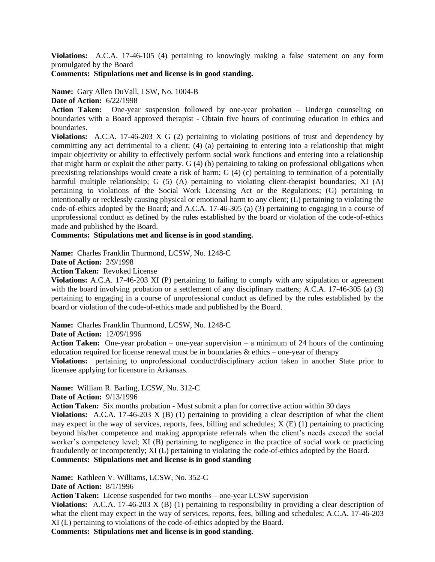**Violations:** A.C.A. 17-46-105 (4) pertaining to knowingly making a false statement on any form promulgated by the Board

## **Comments: Stipulations met and license is in good standing.**

**Name:** Gary Allen DuVall, LSW, No. 1004-B **Date of Action:** 6/22/1998

**Action Taken:** One-year suspension followed by one-year probation – Undergo counseling on boundaries with a Board approved therapist - Obtain five hours of continuing education in ethics and boundaries.

**Violations:** A.C.A. 17-46-203 X G (2) pertaining to violating positions of trust and dependency by committing any act detrimental to a client; (4) (a) pertaining to entering into a relationship that might impair objectivity or ability to effectively perform social work functions and entering into a relationship that might harm or exploit the other party. G (4) (b) pertaining to taking on professional obligations when preexisting relationships would create a risk of harm; G (4) (c) pertaining to termination of a potentially harmful multiple relationship; G (5) (A) pertaining to violating client-therapist boundaries; XI (A) pertaining to violations of the Social Work Licensing Act or the Regulations; (G) pertaining to intentionally or recklessly causing physical or emotional harm to any client; (L) pertaining to violating the code-of-ethics adopted by the Board; and A.C.A. 17-46-305 (a) (3) pertaining to engaging in a course of unprofessional conduct as defined by the rules established by the board or violation of the code-of-ethics made and published by the Board.

**Comments: Stipulations met and license is in good standing.**

**Name:** Charles Franklin Thurmond, LCSW, No. 1248-C

**Date of Action:** 2/9/1998

**Action Taken:** Revoked License

**Violations:** A.C.A. 17-46-203 XI (P) pertaining to failing to comply with any stipulation or agreement with the board involving probation or a settlement of any disciplinary matters; A.C.A. 17-46-305 (a) (3) pertaining to engaging in a course of unprofessional conduct as defined by the rules established by the board or violation of the code-of-ethics made and published by the Board.

**Name:** Charles Franklin Thurmond, LCSW, No. 1248-C

**Date of Action:** 12/09/1996

**Action Taken:** One-year probation – one-year supervision – a minimum of 24 hours of the continuing education required for license renewal must be in boundaries  $\&$  ethics – one-year of therapy

**Violations:** pertaining to unprofessional conduct/disciplinary action taken in another State prior to licensee applying for licensure in Arkansas.

**Name:** William R. Barling, LCSW, No. 312-C **Date of Action:** 9/13/1996

**Action Taken:** Six months probation - Must submit a plan for corrective action within 30 days

**Violations:** A.C.A. 17-46-203 X (B) (1) pertaining to providing a clear description of what the client may expect in the way of services, reports, fees, billing and schedules;  $X(E)$  (1) pertaining to practicing beyond his/her competence and making appropriate referrals when the client's needs exceed the social worker's competency level; XI (B) pertaining to negligence in the practice of social work or practicing fraudulently or incompetently; XI (L) pertaining to violating the code-of-ethics adopted by the Board. **Comments: Stipulations met and license is in good standing**

**Name:** Kathleen V. Williams, LCSW, No. 352-C

**Date of Action:** 8/1/1996

**Action Taken:** License suspended for two months – one-year LCSW supervision

**Violations:** A.C.A. 17-46-203 X (B) (1) pertaining to responsibility in providing a clear description of what the client may expect in the way of services, reports, fees, billing and schedules; A.C.A. 17-46-203 XI (L) pertaining to violations of the code-of-ethics adopted by the Board.

**Comments: Stipulations met and license is in good standing.**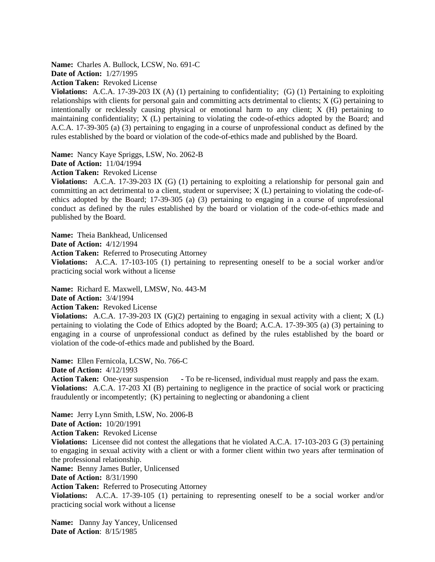**Name:** Charles A. Bullock, LCSW, No. 691-C **Date of Action:** 1/27/1995

**Action Taken:** Revoked License

**Violations:** A.C.A. 17-39-203 IX (A) (1) pertaining to confidentiality; (G) (1) Pertaining to exploiting relationships with clients for personal gain and committing acts detrimental to clients; X (G) pertaining to intentionally or recklessly causing physical or emotional harm to any client; X (H) pertaining to maintaining confidentiality; X (L) pertaining to violating the code-of-ethics adopted by the Board; and A.C.A. 17-39-305 (a) (3) pertaining to engaging in a course of unprofessional conduct as defined by the rules established by the board or violation of the code-of-ethics made and published by the Board.

**Name:** Nancy Kaye Spriggs, LSW, No. 2062-B

**Date of Action:** 11/04/1994

**Action Taken:** Revoked License

**Violations:** A.C.A. 17-39-203 IX (G) (1) pertaining to exploiting a relationship for personal gain and committing an act detrimental to a client, student or supervisee; X (L) pertaining to violating the code-ofethics adopted by the Board; 17-39-305 (a) (3) pertaining to engaging in a course of unprofessional conduct as defined by the rules established by the board or violation of the code-of-ethics made and published by the Board.

**Name:** Theia Bankhead, Unlicensed **Date of Action:** 4/12/1994

**Action Taken:** Referred to Prosecuting Attorney

**Violations:** A.C.A. 17-103-105 (1) pertaining to representing oneself to be a social worker and/or practicing social work without a license

**Name:** Richard E. Maxwell, LMSW, No. 443-M **Date of Action:** 3/4/1994 **Action Taken:** Revoked License

**Violations:** A.C.A. 17-39-203 IX (G)(2) pertaining to engaging in sexual activity with a client; X (L) pertaining to violating the Code of Ethics adopted by the Board; A.C.A. 17-39-305 (a) (3) pertaining to engaging in a course of unprofessional conduct as defined by the rules established by the board or violation of the code-of-ethics made and published by the Board.

**Name:** Ellen Fernicola, LCSW, No. 766-C **Date of Action:** 4/12/1993

**Action Taken:** One-year suspension **-** To be re-licensed, individual must reapply and pass the exam. **Violations:** A.C.A. 17-203 XI (B) pertaining to negligence in the practice of social work or practicing fraudulently or incompetently; (K) pertaining to neglecting or abandoning a client

**Name:** Jerry Lynn Smith, LSW, No. 2006-B **Date of Action:** 10/20/1991 **Action Taken:** Revoked License

**Violations:** Licensee did not contest the allegations that he violated A.C.A. 17-103-203 G (3) pertaining to engaging in sexual activity with a client or with a former client within two years after termination of the professional relationship.

**Name:** Benny James Butler, Unlicensed

**Date of Action:** 8/31/1990

**Action Taken:** Referred to Prosecuting Attorney

**Violations:** A.C.A. 17-39-105 (1) pertaining to representing oneself to be a social worker and/or practicing social work without a license

**Name:** Danny Jay Yancey, Unlicensed **Date of Action**: 8/15/1985